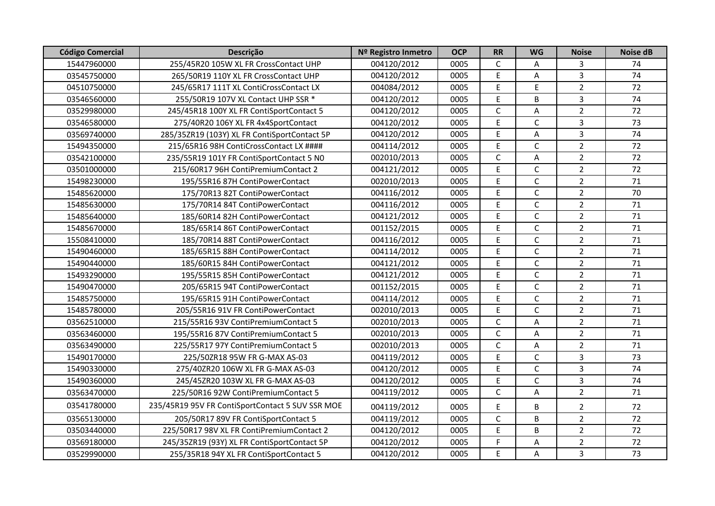| <b>Código Comercial</b> | Descrição                                        | Nº Registro Inmetro | <b>OCP</b> | <b>RR</b>    | <b>WG</b>    | <b>Noise</b>   | <b>Noise dB</b> |
|-------------------------|--------------------------------------------------|---------------------|------------|--------------|--------------|----------------|-----------------|
| 15447960000             | 255/45R20 105W XL FR CrossContact UHP            | 004120/2012         | 0005       | $\mathsf{C}$ | A            | 3              | 74              |
| 03545750000             | 265/50R19 110Y XL FR CrossContact UHP            | 004120/2012         | 0005       | E            | A            | $\overline{3}$ | 74              |
| 04510750000             | 245/65R17 111T XL ContiCrossContact LX           | 004084/2012         | 0005       | E            | E            | $\overline{2}$ | 72              |
| 03546560000             | 255/50R19 107V XL Contact UHP SSR *              | 004120/2012         | 0005       | E            | B            | $\overline{3}$ | 74              |
| 03529980000             | 245/45R18 100Y XL FR ContiSportContact 5         | 004120/2012         | 0005       | $\mathsf C$  | A            | $\overline{2}$ | 72              |
| 03546580000             | 275/40R20 106Y XL FR 4x4SportContact             | 004120/2012         | 0005       | E            | $\mathsf{C}$ | $\overline{3}$ | 73              |
| 03569740000             | 285/35ZR19 (103Y) XL FR ContiSportContact 5P     | 004120/2012         | 0005       | E            | A            | $\mathbf{3}$   | 74              |
| 15494350000             | 215/65R16 98H ContiCrossContact LX ####          | 004114/2012         | 0005       | $\mathsf E$  | $\mathsf{C}$ | $\overline{2}$ | 72              |
| 03542100000             | 235/55R19 101Y FR ContiSportContact 5 NO         | 002010/2013         | 0005       | $\mathsf{C}$ | Α            | $\overline{2}$ | 72              |
| 03501000000             | 215/60R17 96H ContiPremiumContact 2              | 004121/2012         | 0005       | $\mathsf E$  | C            | $\overline{2}$ | 72              |
| 15498230000             | 195/55R16 87H ContiPowerContact                  | 002010/2013         | 0005       | E            | C            | $\overline{2}$ | 71              |
| 15485620000             | 175/70R13 82T ContiPowerContact                  | 004116/2012         | 0005       | E            | C            | $\overline{2}$ | 70              |
| 15485630000             | 175/70R14 84T ContiPowerContact                  | 004116/2012         | 0005       | E            | C            | $\overline{2}$ | 71              |
| 15485640000             | 185/60R14 82H ContiPowerContact                  | 004121/2012         | 0005       | E            | $\mathsf{C}$ | $\overline{2}$ | 71              |
| 15485670000             | 185/65R14 86T ContiPowerContact                  | 001152/2015         | 0005       | E            | $\mathsf{C}$ | $\overline{2}$ | 71              |
| 15508410000             | 185/70R14 88T ContiPowerContact                  | 004116/2012         | 0005       | $\mathsf E$  | $\mathsf{C}$ | $\overline{2}$ | 71              |
| 15490460000             | 185/65R15 88H ContiPowerContact                  | 004114/2012         | 0005       | $\mathsf E$  | $\mathsf C$  | $\overline{2}$ | 71              |
| 15490440000             | 185/60R15 84H ContiPowerContact                  | 004121/2012         | 0005       | $\mathsf E$  | C            | $\overline{2}$ | 71              |
| 15493290000             | 195/55R15 85H ContiPowerContact                  | 004121/2012         | 0005       | E            | C            | $\overline{2}$ | 71              |
| 15490470000             | 205/65R15 94T ContiPowerContact                  | 001152/2015         | 0005       | $\mathsf E$  | $\mathsf{C}$ | $\overline{2}$ | 71              |
| 15485750000             | 195/65R15 91H ContiPowerContact                  | 004114/2012         | 0005       | $\mathsf E$  | C            | $\overline{2}$ | 71              |
| 15485780000             | 205/55R16 91V FR ContiPowerContact               | 002010/2013         | 0005       | E            | $\mathsf{C}$ | $\overline{2}$ | 71              |
| 03562510000             | 215/55R16 93V ContiPremiumContact 5              | 002010/2013         | 0005       | $\mathsf{C}$ | Α            | $\overline{2}$ | 71              |
| 03563460000             | 195/55R16 87V ContiPremiumContact 5              | 002010/2013         | 0005       | $\mathsf{C}$ | A            | $\overline{2}$ | 71              |
| 03563490000             | 225/55R17 97Y ContiPremiumContact 5              | 002010/2013         | 0005       | $\mathsf{C}$ | A            | $\overline{2}$ | 71              |
| 15490170000             | 225/50ZR18 95W FR G-MAX AS-03                    | 004119/2012         | 0005       | $\mathsf E$  | C            | $\mathbf{3}$   | 73              |
| 15490330000             | 275/40ZR20 106W XL FR G-MAX AS-03                | 004120/2012         | 0005       | E            | C            | $\overline{3}$ | 74              |
| 15490360000             | 245/45ZR20 103W XL FR G-MAX AS-03                | 004120/2012         | 0005       | E            | $\mathsf{C}$ | $\overline{3}$ | 74              |
| 03563470000             | 225/50R16 92W ContiPremiumContact 5              | 004119/2012         | 0005       | $\mathsf{C}$ | A            | $\overline{2}$ | 71              |
| 03541780000             | 235/45R19 95V FR ContiSportContact 5 SUV SSR MOE | 004119/2012         | 0005       | E            | В            | $\overline{2}$ | 72              |
| 03565130000             | 205/50R17 89V FR ContiSportContact 5             | 004119/2012         | 0005       | $\mathsf{C}$ | B            | $\overline{2}$ | 72              |
| 03503440000             | 225/50R17 98V XL FR ContiPremiumContact 2        | 004120/2012         | 0005       | $\mathsf E$  | B            | $\overline{2}$ | 72              |
| 03569180000             | 245/35ZR19 (93Y) XL FR ContiSportContact 5P      | 004120/2012         | 0005       | F            | A            | $\overline{2}$ | 72              |
| 03529990000             | 255/35R18 94Y XL FR ContiSportContact 5          | 004120/2012         | 0005       | E            | A            | $\overline{3}$ | 73              |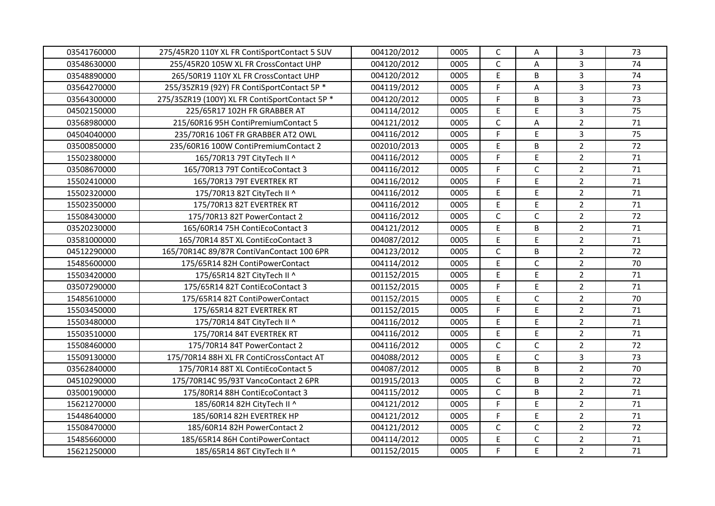| 03541760000 | 275/45R20 110Y XL FR ContiSportContact 5 SUV   | 004120/2012 | 0005 | $\mathsf C$  | Α            | $\mathbf{3}$   | 73 |
|-------------|------------------------------------------------|-------------|------|--------------|--------------|----------------|----|
| 03548630000 | 255/45R20 105W XL FR CrossContact UHP          | 004120/2012 | 0005 | $\mathsf C$  | Α            | 3              | 74 |
| 03548890000 | 265/50R19 110Y XL FR CrossContact UHP          | 004120/2012 | 0005 | E            | B            | $\overline{3}$ | 74 |
| 03564270000 | 255/35ZR19 (92Y) FR ContiSportContact 5P *     | 004119/2012 | 0005 | F            | Α            | $\overline{3}$ | 73 |
| 03564300000 | 275/352R19 (100Y) XL FR ContiSportContact 5P * | 004120/2012 | 0005 | F            | B            | $\overline{3}$ | 73 |
| 04502150000 | 225/65R17 102H FR GRABBER AT                   | 004114/2012 | 0005 | E            | E            | $\overline{3}$ | 75 |
| 03568980000 | 215/60R16 95H ContiPremiumContact 5            | 004121/2012 | 0005 | C            | Α            | $\overline{2}$ | 71 |
| 04504040000 | 235/70R16 106T FR GRABBER AT2 OWL              | 004116/2012 | 0005 | F            | E            | $\mathbf{3}$   | 75 |
| 03500850000 | 235/60R16 100W ContiPremiumContact 2           | 002010/2013 | 0005 | E            | B            | $\overline{2}$ | 72 |
| 15502380000 | 165/70R13 79T CityTech II ^                    | 004116/2012 | 0005 | F            | E            | $\overline{2}$ | 71 |
| 03508670000 | 165/70R13 79T ContiEcoContact 3                | 004116/2012 | 0005 | F            | $\mathsf{C}$ | $\overline{2}$ | 71 |
| 15502410000 | 165/70R13 79T EVERTREK RT                      | 004116/2012 | 0005 | F            | E            | $\overline{2}$ | 71 |
| 15502320000 | 175/70R13 82T CityTech II ^                    | 004116/2012 | 0005 | E            | $\mathsf{E}$ | $\overline{2}$ | 71 |
| 15502350000 | 175/70R13 82T EVERTREK RT                      | 004116/2012 | 0005 | E            | E            | $\overline{2}$ | 71 |
| 15508430000 | 175/70R13 82T PowerContact 2                   | 004116/2012 | 0005 | $\mathsf C$  | $\mathsf C$  | $\overline{2}$ | 72 |
| 03520230000 | 165/60R14 75H ContiEcoContact 3                | 004121/2012 | 0005 | E            | B            | $\overline{2}$ | 71 |
| 03581000000 | 165/70R14 85T XL ContiEcoContact 3             | 004087/2012 | 0005 | E            | E            | $\overline{2}$ | 71 |
| 04512290000 | 165/70R14C 89/87R ContiVanContact 100 6PR      | 004123/2012 | 0005 | $\mathsf{C}$ | B            | $\overline{2}$ | 72 |
| 15485600000 | 175/65R14 82H ContiPowerContact                | 004114/2012 | 0005 | E            | $\mathsf C$  | $\overline{2}$ | 70 |
| 15503420000 | 175/65R14 82T CityTech II ^                    | 001152/2015 | 0005 | E            | E            | $\overline{2}$ | 71 |
| 03507290000 | 175/65R14 82T ContiEcoContact 3                | 001152/2015 | 0005 | F            | E            | $\overline{2}$ | 71 |
| 15485610000 | 175/65R14 82T ContiPowerContact                | 001152/2015 | 0005 | E            | $\mathsf{C}$ | $\overline{2}$ | 70 |
| 15503450000 | 175/65R14 82T EVERTREK RT                      | 001152/2015 | 0005 | F            | $\mathsf{E}$ | $\overline{2}$ | 71 |
| 15503480000 | 175/70R14 84T CityTech II ^                    | 004116/2012 | 0005 | E            | E            | $\overline{2}$ | 71 |
| 15503510000 | 175/70R14 84T EVERTREK RT                      | 004116/2012 | 0005 | E            | $\mathsf{E}$ | $\overline{2}$ | 71 |
| 15508460000 | 175/70R14 84T PowerContact 2                   | 004116/2012 | 0005 | $\mathsf C$  | $\mathsf C$  | $\overline{2}$ | 72 |
| 15509130000 | 175/70R14 88H XL FR ContiCrossContact AT       | 004088/2012 | 0005 | E            | $\mathsf C$  | 3              | 73 |
| 03562840000 | 175/70R14 88T XL ContiEcoContact 5             | 004087/2012 | 0005 | B            | B            | $\overline{2}$ | 70 |
| 04510290000 | 175/70R14C 95/93T VancoContact 2 6PR           | 001915/2013 | 0005 | $\mathsf{C}$ | B            | $\overline{2}$ | 72 |
| 03500190000 | 175/80R14 88H ContiEcoContact 3                | 004115/2012 | 0005 | C            | B            | $\overline{2}$ | 71 |
| 15621270000 | 185/60R14 82H CityTech II ^                    | 004121/2012 | 0005 | F            | $\mathsf{E}$ | $\overline{2}$ | 71 |
| 15448640000 | 185/60R14 82H EVERTREK HP                      | 004121/2012 | 0005 | F            | E            | $\overline{2}$ | 71 |
| 15508470000 | 185/60R14 82H PowerContact 2                   | 004121/2012 | 0005 | $\mathsf C$  | $\mathsf C$  | $\overline{2}$ | 72 |
| 15485660000 | 185/65R14 86H ContiPowerContact                | 004114/2012 | 0005 | E            | $\mathsf{C}$ | $\overline{2}$ | 71 |
| 15621250000 | 185/65R14 86T CityTech II ^                    | 001152/2015 | 0005 | F            | E            | $\overline{2}$ | 71 |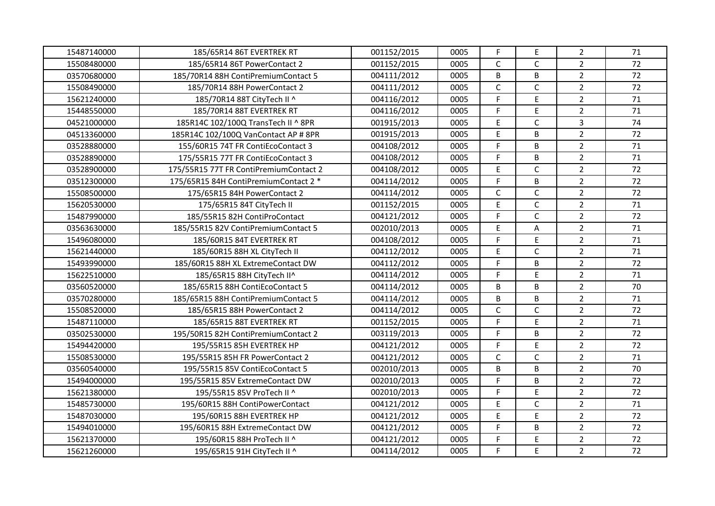| 15487140000 | 185/65R14 86T EVERTREK RT              | 001152/2015 | 0005 | $\mathsf F$  | E            | $\overline{2}$ | 71 |
|-------------|----------------------------------------|-------------|------|--------------|--------------|----------------|----|
| 15508480000 | 185/65R14 86T PowerContact 2           | 001152/2015 | 0005 | C            | C            | $\overline{2}$ | 72 |
| 03570680000 | 185/70R14 88H ContiPremiumContact 5    | 004111/2012 | 0005 | B            | B            | $\overline{2}$ | 72 |
| 15508490000 | 185/70R14 88H PowerContact 2           | 004111/2012 | 0005 | $\mathsf{C}$ | $\mathsf{C}$ | $\overline{2}$ | 72 |
| 15621240000 | 185/70R14 88T CityTech II ^            | 004116/2012 | 0005 | F            | E.           | $\overline{2}$ | 71 |
| 15448550000 | 185/70R14 88T EVERTREK RT              | 004116/2012 | 0005 | F            | E            | $\overline{2}$ | 71 |
| 04521000000 | 185R14C 102/100Q TransTech II ^ 8PR    | 001915/2013 | 0005 | $\mathsf E$  | $\mathsf{C}$ | $\overline{3}$ | 74 |
| 04513360000 | 185R14C 102/100Q VanContact AP # 8PR   | 001915/2013 | 0005 | $\mathsf E$  | B            | $\overline{2}$ | 72 |
| 03528880000 | 155/60R15 74T FR ContiEcoContact 3     | 004108/2012 | 0005 | F            | B            | $\overline{2}$ | 71 |
| 03528890000 | 175/55R15 77T FR ContiEcoContact 3     | 004108/2012 | 0005 | F            | B            | $\overline{2}$ | 71 |
| 03528900000 | 175/55R15 77T FR ContiPremiumContact 2 | 004108/2012 | 0005 | $\mathsf E$  | $\mathsf{C}$ | $\overline{2}$ | 72 |
| 03512300000 | 175/65R15 84H ContiPremiumContact 2 *  | 004114/2012 | 0005 | $\mathsf F$  | B            | $\overline{2}$ | 72 |
| 15508500000 | 175/65R15 84H PowerContact 2           | 004114/2012 | 0005 | $\mathsf{C}$ | $\mathsf{C}$ | $\overline{2}$ | 72 |
| 15620530000 | 175/65R15 84T CityTech II              | 001152/2015 | 0005 | E            | $\mathsf{C}$ | $\overline{2}$ | 71 |
| 15487990000 | 185/55R15 82H ContiProContact          | 004121/2012 | 0005 | F            | $\mathsf{C}$ | $\overline{2}$ | 72 |
| 03563630000 | 185/55R15 82V ContiPremiumContact 5    | 002010/2013 | 0005 | $\mathsf E$  | $\sf A$      | $\overline{2}$ | 71 |
| 15496080000 | 185/60R15 84T EVERTREK RT              | 004108/2012 | 0005 | F            | E            | $\overline{2}$ | 71 |
| 15621440000 | 185/60R15 88H XL CityTech II           | 004112/2012 | 0005 | $\mathsf E$  | C            | $\overline{2}$ | 71 |
| 15493990000 | 185/60R15 88H XL ExtremeContact DW     | 004112/2012 | 0005 | F            | B            | $\overline{2}$ | 72 |
| 15622510000 | 185/65R15 88H CityTech II^             | 004114/2012 | 0005 | F            | E            | $\overline{2}$ | 71 |
| 03560520000 | 185/65R15 88H ContiEcoContact 5        | 004114/2012 | 0005 | B            | B            | $\overline{2}$ | 70 |
| 03570280000 | 185/65R15 88H ContiPremiumContact 5    | 004114/2012 | 0005 | B            | B            | $\overline{2}$ | 71 |
| 15508520000 | 185/65R15 88H PowerContact 2           | 004114/2012 | 0005 | $\mathsf{C}$ | $\mathsf{C}$ | $\overline{2}$ | 72 |
| 15487110000 | 185/65R15 88T EVERTREK RT              | 001152/2015 | 0005 | F            | E            | $\overline{2}$ | 71 |
| 03502530000 | 195/50R15 82H ContiPremiumContact 2    | 003119/2013 | 0005 | F            | B            | $\overline{2}$ | 72 |
| 15494420000 | 195/55R15 85H EVERTREK HP              | 004121/2012 | 0005 | F            | E            | $\overline{2}$ | 72 |
| 15508530000 | 195/55R15 85H FR PowerContact 2        | 004121/2012 | 0005 | $\mathsf{C}$ | $\mathsf{C}$ | $\overline{2}$ | 71 |
| 03560540000 | 195/55R15 85V ContiEcoContact 5        | 002010/2013 | 0005 | B            | B            | $\overline{2}$ | 70 |
| 15494000000 | 195/55R15 85V ExtremeContact DW        | 002010/2013 | 0005 | F            | B            | $\overline{2}$ | 72 |
| 15621380000 | 195/55R15 85V ProTech II ^             | 002010/2013 | 0005 | F            | E            | $\overline{2}$ | 72 |
| 15485730000 | 195/60R15 88H ContiPowerContact        | 004121/2012 | 0005 | $\mathsf E$  | $\mathsf{C}$ | $\overline{2}$ | 71 |
| 15487030000 | 195/60R15 88H EVERTREK HP              | 004121/2012 | 0005 | $\mathsf E$  | E            | $\overline{2}$ | 72 |
| 15494010000 | 195/60R15 88H ExtremeContact DW        | 004121/2012 | 0005 | F            | B            | $\overline{2}$ | 72 |
| 15621370000 | 195/60R15 88H ProTech II ^             | 004121/2012 | 0005 | F            | E            | $\mathbf 2$    | 72 |
| 15621260000 | 195/65R15 91H CityTech II ^            | 004114/2012 | 0005 | F.           | E            | $\overline{2}$ | 72 |
|             |                                        |             |      |              |              |                |    |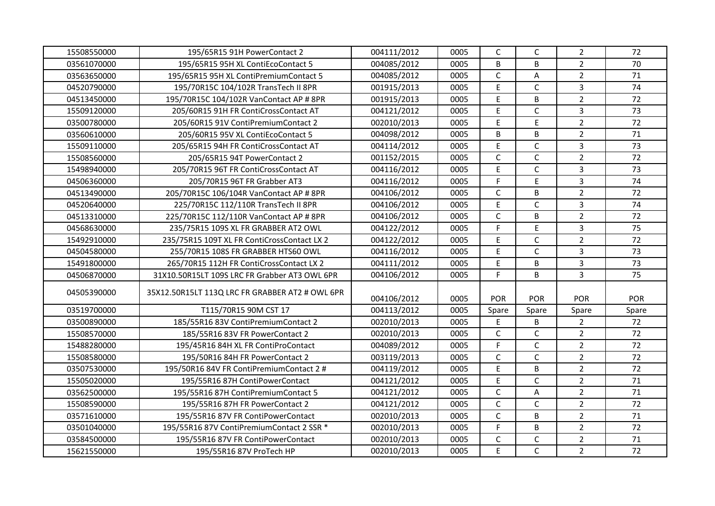| 15508550000 | 195/65R15 91H PowerContact 2                    | 004111/2012 | 0005 | C            | C            | $\overline{2}$ | 72         |
|-------------|-------------------------------------------------|-------------|------|--------------|--------------|----------------|------------|
| 03561070000 | 195/65R15 95H XL ContiEcoContact 5              | 004085/2012 | 0005 | B            | B            | $\overline{2}$ | 70         |
| 03563650000 | 195/65R15 95H XL ContiPremiumContact 5          | 004085/2012 | 0005 | $\mathsf C$  | A            | $\overline{2}$ | 71         |
| 04520790000 | 195/70R15C 104/102R TransTech II 8PR            | 001915/2013 | 0005 | $\mathsf E$  | $\mathsf{C}$ | $\overline{3}$ | 74         |
| 04513450000 | 195/70R15C 104/102R VanContact AP # 8PR         | 001915/2013 | 0005 | $\mathsf E$  | B            | $\overline{2}$ | 72         |
| 15509120000 | 205/60R15 91H FR ContiCrossContact AT           | 004121/2012 | 0005 | E            | $\mathsf{C}$ | $\overline{3}$ | 73         |
| 03500780000 | 205/60R15 91V ContiPremiumContact 2             | 002010/2013 | 0005 | $\mathsf E$  | E            | $\overline{2}$ | 72         |
| 03560610000 | 205/60R15 95V XL ContiEcoContact 5              | 004098/2012 | 0005 | B            | B            | $\mathbf 2$    | 71         |
| 15509110000 | 205/65R15 94H FR ContiCrossContact AT           | 004114/2012 | 0005 | $\mathsf E$  | $\mathsf{C}$ | $\overline{3}$ | 73         |
| 15508560000 | 205/65R15 94T PowerContact 2                    | 001152/2015 | 0005 | $\mathsf{C}$ | $\mathsf{C}$ | $\overline{2}$ | 72         |
| 15498940000 | 205/70R15 96T FR ContiCrossContact AT           | 004116/2012 | 0005 | E            | $\mathsf{C}$ | $\overline{3}$ | 73         |
| 04506360000 | 205/70R15 96T FR Grabber AT3                    | 004116/2012 | 0005 | F            | E.           | $\overline{3}$ | 74         |
| 04513490000 | 205/70R15C 106/104R VanContact AP # 8PR         | 004106/2012 | 0005 | $\mathsf{C}$ | B            | $\overline{2}$ | 72         |
| 04520640000 | 225/70R15C 112/110R TransTech II 8PR            | 004106/2012 | 0005 | E            | $\mathsf{C}$ | $\overline{3}$ | 74         |
| 04513310000 | 225/70R15C 112/110R VanContact AP # 8PR         | 004106/2012 | 0005 | $\mathsf{C}$ | B            | $\overline{2}$ | 72         |
| 04568630000 | 235/75R15 109S XL FR GRABBER AT2 OWL            | 004122/2012 | 0005 | $\mathsf F$  | E            | $\overline{3}$ | 75         |
| 15492910000 | 235/75R15 109T XL FR ContiCrossContact LX 2     | 004122/2012 | 0005 | $\mathsf E$  | $\mathsf{C}$ | $\overline{2}$ | 72         |
| 04504580000 | 255/70R15 108S FR GRABBER HTS60 OWL             | 004116/2012 | 0005 | E            | C            | $\overline{3}$ | 73         |
| 15491800000 | 265/70R15 112H FR ContiCrossContact LX 2        | 004111/2012 | 0005 | E            | B            | $\overline{3}$ | 73         |
| 04506870000 | 31X10.50R15LT 109S LRC FR Grabber AT3 OWL 6PR   | 004106/2012 | 0005 | F.           | B            | $\overline{3}$ | 75         |
| 04505390000 | 35X12.50R15LT 113Q LRC FR GRABBER AT2 # OWL 6PR | 004106/2012 | 0005 | <b>POR</b>   | <b>POR</b>   | <b>POR</b>     | <b>POR</b> |
| 03519700000 | T115/70R15 90M CST 17                           | 004113/2012 | 0005 | Spare        | Spare        | Spare          | Spare      |
| 03500890000 | 185/55R16 83V ContiPremiumContact 2             | 002010/2013 | 0005 | Ε            | B            | 2              | 72         |
| 15508570000 | 185/55R16 83V FR PowerContact 2                 | 002010/2013 | 0005 | $\mathsf{C}$ | $\mathsf{C}$ | $\overline{2}$ | 72         |
| 15488280000 | 195/45R16 84H XL FR ContiProContact             | 004089/2012 | 0005 | F            | C            | $\overline{2}$ | 72         |
| 15508580000 | 195/50R16 84H FR PowerContact 2                 | 003119/2013 | 0005 | $\mathsf C$  | $\mathsf{C}$ | $\overline{2}$ | 72         |
| 03507530000 | 195/50R16 84V FR ContiPremiumContact 2 #        | 004119/2012 | 0005 | E            | B            | $\overline{2}$ | 72         |
| 15505020000 | 195/55R16 87H ContiPowerContact                 | 004121/2012 | 0005 | $\mathsf E$  | $\mathsf{C}$ | $\overline{2}$ | 71         |
| 03562500000 | 195/55R16 87H ContiPremiumContact 5             | 004121/2012 | 0005 | $\mathsf C$  | $\mathsf A$  | $\overline{2}$ | 71         |
| 15508590000 | 195/55R16 87H FR PowerContact 2                 | 004121/2012 | 0005 | $\mathsf{C}$ | $\mathsf{C}$ | $\overline{2}$ | 72         |
| 03571610000 | 195/55R16 87V FR ContiPowerContact              | 002010/2013 | 0005 | $\mathsf{C}$ | B            | $\overline{2}$ | 71         |
| 03501040000 | 195/55R16 87V ContiPremiumContact 2 SSR *       | 002010/2013 | 0005 | $\mathsf F$  | B            | $\overline{2}$ | 72         |
| 03584500000 | 195/55R16 87V FR ContiPowerContact              | 002010/2013 | 0005 | $\mathsf C$  | C            | $\overline{2}$ | 71         |
| 15621550000 | 195/55R16 87V ProTech HP                        | 002010/2013 | 0005 | E            | $\mathsf{C}$ | $\overline{2}$ | 72         |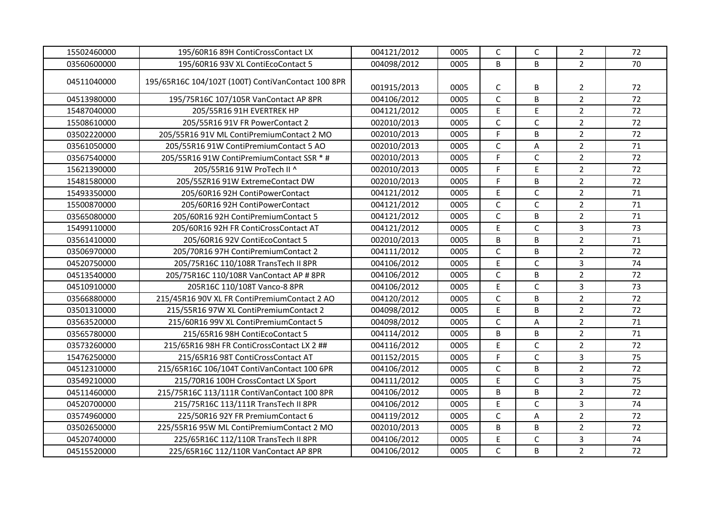| 15502460000 | 195/60R16 89H ContiCrossContact LX                 | 004121/2012 | 0005 | $\mathsf{C}$ | C            | $\overline{2}$ | 72 |
|-------------|----------------------------------------------------|-------------|------|--------------|--------------|----------------|----|
| 03560600000 | 195/60R16 93V XL ContiEcoContact 5                 | 004098/2012 | 0005 | B            | B            | $\overline{2}$ | 70 |
| 04511040000 | 195/65R16C 104/102T (100T) ContiVanContact 100 8PR | 001915/2013 | 0005 | C            | В            | 2              | 72 |
| 04513980000 | 195/75R16C 107/105R VanContact AP 8PR              | 004106/2012 | 0005 | $\mathsf{C}$ | B            | $\overline{2}$ | 72 |
| 15487040000 | 205/55R16 91H EVERTREK HP                          | 004121/2012 | 0005 | E            | E            | $\overline{2}$ | 72 |
| 15508610000 | 205/55R16 91V FR PowerContact 2                    | 002010/2013 | 0005 | $\mathsf{C}$ | $\mathsf{C}$ | $\overline{2}$ | 72 |
| 03502220000 | 205/55R16 91V ML ContiPremiumContact 2 MO          | 002010/2013 | 0005 | $\mathsf F$  | B            | $\overline{2}$ | 72 |
| 03561050000 | 205/55R16 91W ContiPremiumContact 5 AO             | 002010/2013 | 0005 | $\mathsf{C}$ | Α            | $\overline{2}$ | 71 |
| 03567540000 | 205/55R16 91W ContiPremiumContact SSR * #          | 002010/2013 | 0005 | F            | C            | $\overline{2}$ | 72 |
| 15621390000 | 205/55R16 91W ProTech II ^                         | 002010/2013 | 0005 | F            | E            | $\overline{2}$ | 72 |
| 15481580000 | 205/55ZR16 91W ExtremeContact DW                   | 002010/2013 | 0005 | F            | B            | $\overline{2}$ | 72 |
| 15493350000 | 205/60R16 92H ContiPowerContact                    | 004121/2012 | 0005 | $\mathsf E$  | $\mathsf{C}$ | $\overline{2}$ | 71 |
| 15500870000 | 205/60R16 92H ContiPowerContact                    | 004121/2012 | 0005 | $\mathsf{C}$ | $\mathsf{C}$ | $\overline{2}$ | 71 |
| 03565080000 | 205/60R16 92H ContiPremiumContact 5                | 004121/2012 | 0005 | $\mathsf C$  | B            | $\overline{2}$ | 71 |
| 15499110000 | 205/60R16 92H FR ContiCrossContact AT              | 004121/2012 | 0005 | $\mathsf E$  | $\mathsf{C}$ | $\mathbf{3}$   | 73 |
| 03561410000 | 205/60R16 92V ContiEcoContact 5                    | 002010/2013 | 0005 | B            | B            | $\overline{2}$ | 71 |
| 03506970000 | 205/70R16 97H ContiPremiumContact 2                | 004111/2012 | 0005 | $\mathsf C$  | B            | $\overline{2}$ | 72 |
| 04520750000 | 205/75R16C 110/108R TransTech II 8PR               | 004106/2012 | 0005 | $\mathsf E$  | $\mathsf{C}$ | $\overline{3}$ | 74 |
| 04513540000 | 205/75R16C 110/108R VanContact AP # 8PR            | 004106/2012 | 0005 | $\mathsf{C}$ | B            | $\overline{2}$ | 72 |
| 04510910000 | 205R16C 110/108T Vanco-8 8PR                       | 004106/2012 | 0005 | $\mathsf E$  | $\mathsf{C}$ | $\overline{3}$ | 73 |
| 03566880000 | 215/45R16 90V XL FR ContiPremiumContact 2 AO       | 004120/2012 | 0005 | $\mathsf{C}$ | B            | $\overline{2}$ | 72 |
| 03501310000 | 215/55R16 97W XL ContiPremiumContact 2             | 004098/2012 | 0005 | $\mathsf E$  | B            | $\overline{2}$ | 72 |
| 03563520000 | 215/60R16 99V XL ContiPremiumContact 5             | 004098/2012 | 0005 | $\mathsf{C}$ | Α            | $\overline{2}$ | 71 |
| 03565780000 | 215/65R16 98H ContiEcoContact 5                    | 004114/2012 | 0005 | B            | B            | $\overline{2}$ | 71 |
| 03573260000 | 215/65R16 98H FR ContiCrossContact LX 2 ##         | 004116/2012 | 0005 | $\mathsf E$  | $\mathsf{C}$ | $\overline{2}$ | 72 |
| 15476250000 | 215/65R16 98T ContiCrossContact AT                 | 001152/2015 | 0005 | F            | $\mathsf{C}$ | $\overline{3}$ | 75 |
| 04512310000 | 215/65R16C 106/104T ContiVanContact 100 6PR        | 004106/2012 | 0005 | $\mathsf{C}$ | B            | $\overline{2}$ | 72 |
| 03549210000 | 215/70R16 100H CrossContact LX Sport               | 004111/2012 | 0005 | E            | $\mathsf{C}$ | $\overline{3}$ | 75 |
| 04511460000 | 215/75R16C 113/111R ContiVanContact 100 8PR        | 004106/2012 | 0005 | B            | B            | $\overline{2}$ | 72 |
| 04520700000 | 215/75R16C 113/111R TransTech II 8PR               | 004106/2012 | 0005 | $\mathsf E$  | $\mathsf{C}$ | $\overline{3}$ | 74 |
| 03574960000 | 225/50R16 92Y FR PremiumContact 6                  | 004119/2012 | 0005 | $\mathsf{C}$ | Α            | $\overline{2}$ | 72 |
| 03502650000 | 225/55R16 95W ML ContiPremiumContact 2 MO          | 002010/2013 | 0005 | B            | B            | $\overline{2}$ | 72 |
| 04520740000 | 225/65R16C 112/110R TransTech II 8PR               | 004106/2012 | 0005 | E            | C            | $\mathbf{3}$   | 74 |
| 04515520000 | 225/65R16C 112/110R VanContact AP 8PR              | 004106/2012 | 0005 | $\mathsf C$  | B            | $\overline{2}$ | 72 |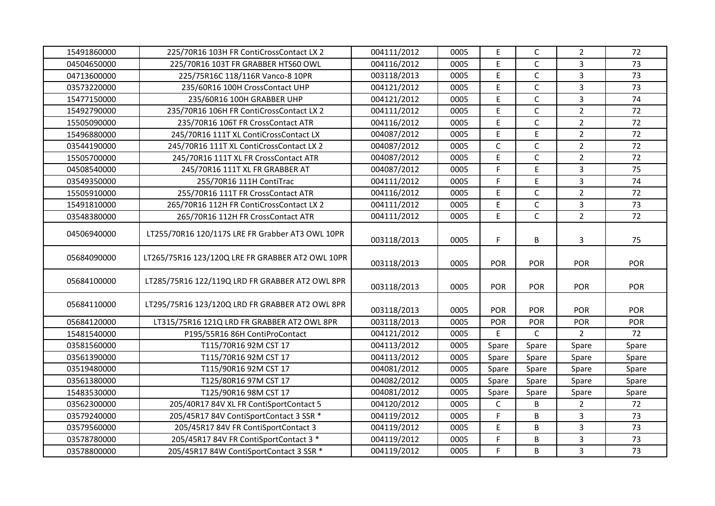| 15491860000 | 225/70R16 103H FR ContiCrossContact LX 2         | 004111/2012 | 0005 | E           | $\mathsf{C}$ | $\overline{2}$ | 72         |
|-------------|--------------------------------------------------|-------------|------|-------------|--------------|----------------|------------|
| 04504650000 | 225/70R16 103T FR GRABBER HTS60 OWL              | 004116/2012 | 0005 | E           | C            | 3              | 73         |
| 04713600000 | 225/75R16C 118/116R Vanco-8 10PR                 | 003118/2013 | 0005 | $\mathsf E$ | $\mathsf{C}$ | $\overline{3}$ | 73         |
| 03573220000 | 235/60R16 100H CrossContact UHP                  | 004121/2012 | 0005 | $\mathsf E$ | $\mathsf{C}$ | 3              | 73         |
| 15477150000 | 235/60R16 100H GRABBER UHP                       | 004121/2012 | 0005 | E           | $\mathsf{C}$ | $\overline{3}$ | 74         |
| 15492790000 | 235/70R16 106H FR ContiCrossContact LX 2         | 004111/2012 | 0005 | E           | $\mathsf{C}$ | $\overline{2}$ | 72         |
| 15505090000 | 235/70R16 106T FR CrossContact ATR               | 004116/2012 | 0005 | E           | $\mathsf{C}$ | $\overline{2}$ | 72         |
| 15496880000 | 245/70R16 111T XL ContiCrossContact LX           | 004087/2012 | 0005 | $\mathsf E$ | E            | $\overline{2}$ | 72         |
| 03544190000 | 245/70R16 111T XL ContiCrossContact LX 2         | 004087/2012 | 0005 | $\mathsf C$ | $\mathsf{C}$ | $\overline{2}$ | 72         |
| 15505700000 | 245/70R16 111T XL FR CrossContact ATR            | 004087/2012 | 0005 | $\mathsf E$ | C            | $\overline{2}$ | 72         |
| 04508540000 | 245/70R16 111T XL FR GRABBER AT                  | 004087/2012 | 0005 | F           | E            | $\mathbf{3}$   | 75         |
| 03549350000 | 255/70R16 111H ContiTrac                         | 004111/2012 | 0005 | F           | E            | $\overline{3}$ | 74         |
| 15505910000 | 255/70R16 111T FR CrossContact ATR               | 004116/2012 | 0005 | $\mathsf E$ | $\mathsf{C}$ | $\overline{2}$ | 72         |
| 15491810000 | 265/70R16 112H FR ContiCrossContact LX 2         | 004111/2012 | 0005 | $\mathsf E$ | $\mathsf{C}$ | 3              | 73         |
| 03548380000 | 265/70R16 112H FR CrossContact ATR               | 004111/2012 | 0005 | E           | $\mathsf{C}$ | $\overline{2}$ | 72         |
| 04506940000 | LT255/70R16 120/117S LRE FR Grabber AT3 OWL 10PR | 003118/2013 | 0005 | F           | В            | $\mathbf{3}$   | 75         |
| 05684090000 | LT265/75R16 123/120Q LRE FR GRABBER AT2 OWL 10PR | 003118/2013 | 0005 | <b>POR</b>  | <b>POR</b>   | <b>POR</b>     | <b>POR</b> |
| 05684100000 | LT285/75R16 122/119Q LRD FR GRABBER AT2 OWL 8PR  | 003118/2013 | 0005 | <b>POR</b>  | <b>POR</b>   | <b>POR</b>     | <b>POR</b> |
| 05684110000 | LT295/75R16 123/120Q LRD FR GRABBER AT2 OWL 8PR  | 003118/2013 | 0005 | <b>POR</b>  | <b>POR</b>   | <b>POR</b>     | <b>POR</b> |
| 05684120000 | LT315/75R16 121Q LRD FR GRABBER AT2 OWL 8PR      | 003118/2013 | 0005 | <b>POR</b>  | <b>POR</b>   | POR            | POR        |
| 15481540000 | P195/55R16 86H ContiProContact                   | 004121/2012 | 0005 | Ε           | C            | $\overline{2}$ | 72         |
| 03581560000 | T115/70R16 92M CST 17                            | 004113/2012 | 0005 | Spare       | Spare        | Spare          | Spare      |
| 03561390000 | T115/70R16 92M CST 17                            | 004113/2012 | 0005 | Spare       | Spare        | Spare          | Spare      |
| 03519480000 | T115/90R16 92M CST 17                            | 004081/2012 | 0005 | Spare       | Spare        | Spare          | Spare      |
| 03561380000 | T125/80R16 97M CST 17                            | 004082/2012 | 0005 | Spare       | Spare        | Spare          | Spare      |
| 15483530000 | T125/90R16 98M CST 17                            | 004081/2012 | 0005 | Spare       | Spare        | Spare          | Spare      |
| 03562300000 | 205/40R17 84V XL FR ContiSportContact 5          | 004120/2012 | 0005 | C           | B            | 2              | 72         |
| 03579240000 | 205/45R17 84V ContiSportContact 3 SSR *          | 004119/2012 | 0005 | $\mathsf F$ | B            | $\mathbf{3}$   | 73         |
| 03579560000 | 205/45R17 84V FR ContiSportContact 3             | 004119/2012 | 0005 | $\mathsf E$ | B            | $\mathbf{3}$   | 73         |
| 03578780000 | 205/45R17 84V FR ContiSportContact 3 *           | 004119/2012 | 0005 | F           | B            | $\mathbf{3}$   | 73         |
| 03578800000 | 205/45R17 84W ContiSportContact 3 SSR *          | 004119/2012 | 0005 | F           | B            | $\overline{3}$ | 73         |
|             |                                                  |             |      |             |              |                |            |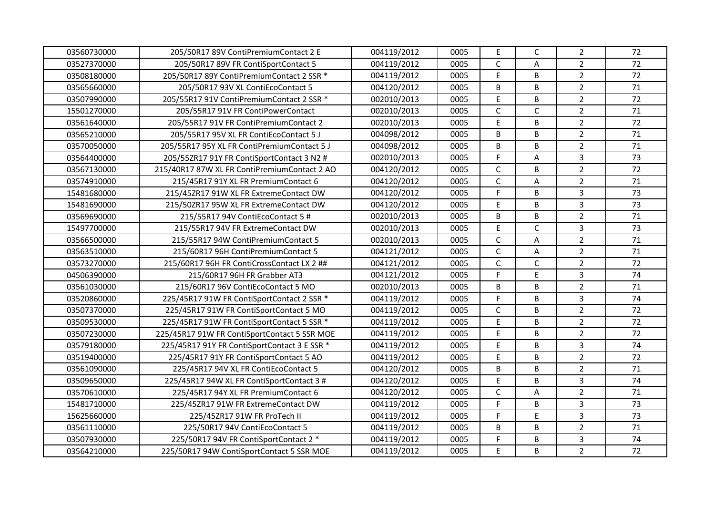| 0005<br>004119/2012<br>$\mathsf C$<br>A<br>$\overline{2}$<br>72<br>03527370000<br>205/50R17 89V FR ContiSportContact 5<br>0005<br>$\mathsf E$<br>B<br>$\overline{2}$<br>72<br>03508180000<br>205/50R17 89Y ContiPremiumContact 2 SSR *<br>004119/2012<br>0005<br>B<br>71<br>205/50R17 93V XL ContiEcoContact 5<br>004120/2012<br>0005<br>B<br>$\overline{2}$<br>03565660000<br>$\mathsf E$<br>B<br>$\overline{2}$<br>72<br>002010/2013<br>0005<br>03507990000<br>205/55R17 91V ContiPremiumContact 2 SSR *<br>$\mathsf{C}$<br>$\mathsf{C}$<br>$\overline{2}$<br>71<br>002010/2013<br>0005<br>15501270000<br>205/55R17 91V FR ContiPowerContact<br>E<br>B<br>$\overline{2}$<br>72<br>03561640000<br>0005<br>205/55R17 91V FR ContiPremiumContact 2<br>002010/2013<br>$\overline{2}$<br>71<br>B<br>B<br>03565210000<br>205/55R17 95V XL FR ContiEcoContact 5 J<br>004098/2012<br>0005<br>$\overline{2}$<br>B<br>71<br>B<br>03570050000<br>205/55R17 95Y XL FR ContiPremiumContact 5 J<br>004098/2012<br>0005<br>$\overline{3}$<br>73<br>03564400000<br>205/55ZR17 91Y FR ContiSportContact 3 N2 #<br>002010/2013<br>0005<br>F<br>A<br>$\overline{2}$<br>72<br>$\mathsf{C}$<br>B<br>004120/2012<br>0005<br>03567130000<br>215/40R17 87W XL FR ContiPremiumContact 2 AO<br>$\mathsf{C}$<br>$\overline{2}$<br>71<br>Α<br>03574910000<br>215/45R17 91Y XL FR PremiumContact 6<br>004120/2012<br>0005<br>F<br>$\overline{3}$<br>B<br>73<br>0005<br>15481680000<br>215/45ZR17 91W XL FR ExtremeContact DW<br>004120/2012<br>$\mathsf E$<br>B<br>3<br>73<br>15481690000<br>004120/2012<br>0005<br>215/50ZR17 95W XL FR ExtremeContact DW<br>B<br>$\overline{2}$<br>71<br>B<br>03569690000<br>215/55R17 94V ContiEcoContact 5 #<br>002010/2013<br>0005<br>$\mathsf E$<br>C<br>$\mathbf{3}$<br>73<br>002010/2013<br>0005<br>15497700000<br>215/55R17 94V FR ExtremeContact DW<br>$\overline{2}$<br>$\mathsf C$<br>71<br>Α<br>03566500000<br>215/55R17 94W ContiPremiumContact 5<br>002010/2013<br>0005<br>$\mathsf C$<br>$\overline{2}$<br>03563510000<br>215/60R17 96H ContiPremiumContact 5<br>004121/2012<br>0005<br>A<br>71<br>$\mathsf C$<br>$\mathsf{C}$<br>$\overline{2}$<br>72<br>03573270000<br>004121/2012<br>0005<br>215/60R17 96H FR ContiCrossContact LX 2 ##<br>E<br>F<br>$\overline{3}$<br>74<br>04506390000<br>215/60R17 96H FR Grabber AT3<br>004121/2012<br>0005<br>$\overline{2}$<br>B<br>B<br>71<br>03561030000<br>002010/2013<br>0005<br>215/60R17 96V ContiEcoContact 5 MO<br>F<br>B<br>$\overline{3}$<br>74<br>0005<br>03520860000<br>004119/2012<br>225/45R17 91W FR ContiSportContact 2 SSR *<br>$\overline{2}$<br>$\mathsf C$<br>B<br>72<br>004119/2012<br>0005<br>03507370000<br>225/45R17 91W FR ContiSportContact 5 MO<br>$\mathsf E$<br>$\overline{2}$<br>B<br>72<br>03509530000<br>004119/2012<br>0005<br>225/45R17 91W FR ContiSportContact 5 SSR *<br>$\overline{2}$<br>$\mathsf E$<br>B<br>72<br>03507230000<br>225/45R17 91W FR ContiSportContact 5 SSR MOE<br>004119/2012<br>0005<br>$\mathsf E$<br>B<br>$\overline{3}$<br>74<br>03579180000<br>225/45R17 91Y FR ContiSportContact 3 E SSR *<br>004119/2012<br>0005<br>72<br>$\overline{2}$<br>$\mathsf E$<br>B<br>03519400000<br>225/45R17 91Y FR ContiSportContact 5 AO<br>004119/2012<br>0005<br>B<br>$\overline{2}$<br>71<br>B<br>004120/2012<br>0005<br>03561090000<br>225/45R17 94V XL FR ContiEcoContact 5<br>E<br>B<br>$\overline{3}$<br>74<br>03509650000<br>004120/2012<br>0005<br>225/45R17 94W XL FR ContiSportContact 3 #<br>$\mathsf{C}$<br>$\overline{2}$<br>03570610000<br>004120/2012<br>0005<br>71<br>225/45R17 94Y XL FR PremiumContact 6<br>А<br>$\mathsf F$<br>$\overline{3}$<br>73<br>B<br>15481710000<br>225/45ZR17 91W FR ExtremeContact DW<br>004119/2012<br>0005<br>E<br>$\overline{3}$<br>F<br>73<br>15625660000<br>225/45ZR17 91W FR ProTech II<br>004119/2012<br>0005<br>$\overline{2}$<br>B<br>B<br>71<br>004119/2012<br>0005<br>03561110000<br>225/50R17 94V ContiEcoContact 5<br>B<br>$\mathbf{3}$<br>74<br>004119/2012<br>0005<br>F<br>03507930000<br>225/50R17 94V FR ContiSportContact 2 * |             |                                           |             |      |             |   |                |    |
|--------------------------------------------------------------------------------------------------------------------------------------------------------------------------------------------------------------------------------------------------------------------------------------------------------------------------------------------------------------------------------------------------------------------------------------------------------------------------------------------------------------------------------------------------------------------------------------------------------------------------------------------------------------------------------------------------------------------------------------------------------------------------------------------------------------------------------------------------------------------------------------------------------------------------------------------------------------------------------------------------------------------------------------------------------------------------------------------------------------------------------------------------------------------------------------------------------------------------------------------------------------------------------------------------------------------------------------------------------------------------------------------------------------------------------------------------------------------------------------------------------------------------------------------------------------------------------------------------------------------------------------------------------------------------------------------------------------------------------------------------------------------------------------------------------------------------------------------------------------------------------------------------------------------------------------------------------------------------------------------------------------------------------------------------------------------------------------------------------------------------------------------------------------------------------------------------------------------------------------------------------------------------------------------------------------------------------------------------------------------------------------------------------------------------------------------------------------------------------------------------------------------------------------------------------------------------------------------------------------------------------------------------------------------------------------------------------------------------------------------------------------------------------------------------------------------------------------------------------------------------------------------------------------------------------------------------------------------------------------------------------------------------------------------------------------------------------------------------------------------------------------------------------------------------------------------------------------------------------------------------------------------------------------------------------------------------------------------------------------------------------------------------------------------------------------------------------------------------------------------------------------------------------------------------------------------------------------------------------------------------------------------------------------------------------------------------------------------------------------------------------------------------------------------------------------------------------------------------------------------------------------------------------------------------------------------------------------------------------------------------------------------------------------------------------------------------------------------------------|-------------|-------------------------------------------|-------------|------|-------------|---|----------------|----|
|                                                                                                                                                                                                                                                                                                                                                                                                                                                                                                                                                                                                                                                                                                                                                                                                                                                                                                                                                                                                                                                                                                                                                                                                                                                                                                                                                                                                                                                                                                                                                                                                                                                                                                                                                                                                                                                                                                                                                                                                                                                                                                                                                                                                                                                                                                                                                                                                                                                                                                                                                                                                                                                                                                                                                                                                                                                                                                                                                                                                                                                                                                                                                                                                                                                                                                                                                                                                                                                                                                                                                                                                                                                                                                                                                                                                                                                                                                                                                                                                                                                                                                        | 03560730000 | 205/50R17 89V ContiPremiumContact 2 E     | 004119/2012 |      | $\mathsf E$ | C | $\overline{2}$ | 72 |
|                                                                                                                                                                                                                                                                                                                                                                                                                                                                                                                                                                                                                                                                                                                                                                                                                                                                                                                                                                                                                                                                                                                                                                                                                                                                                                                                                                                                                                                                                                                                                                                                                                                                                                                                                                                                                                                                                                                                                                                                                                                                                                                                                                                                                                                                                                                                                                                                                                                                                                                                                                                                                                                                                                                                                                                                                                                                                                                                                                                                                                                                                                                                                                                                                                                                                                                                                                                                                                                                                                                                                                                                                                                                                                                                                                                                                                                                                                                                                                                                                                                                                                        |             |                                           |             |      |             |   |                |    |
|                                                                                                                                                                                                                                                                                                                                                                                                                                                                                                                                                                                                                                                                                                                                                                                                                                                                                                                                                                                                                                                                                                                                                                                                                                                                                                                                                                                                                                                                                                                                                                                                                                                                                                                                                                                                                                                                                                                                                                                                                                                                                                                                                                                                                                                                                                                                                                                                                                                                                                                                                                                                                                                                                                                                                                                                                                                                                                                                                                                                                                                                                                                                                                                                                                                                                                                                                                                                                                                                                                                                                                                                                                                                                                                                                                                                                                                                                                                                                                                                                                                                                                        |             |                                           |             |      |             |   |                |    |
|                                                                                                                                                                                                                                                                                                                                                                                                                                                                                                                                                                                                                                                                                                                                                                                                                                                                                                                                                                                                                                                                                                                                                                                                                                                                                                                                                                                                                                                                                                                                                                                                                                                                                                                                                                                                                                                                                                                                                                                                                                                                                                                                                                                                                                                                                                                                                                                                                                                                                                                                                                                                                                                                                                                                                                                                                                                                                                                                                                                                                                                                                                                                                                                                                                                                                                                                                                                                                                                                                                                                                                                                                                                                                                                                                                                                                                                                                                                                                                                                                                                                                                        |             |                                           |             |      |             |   |                |    |
|                                                                                                                                                                                                                                                                                                                                                                                                                                                                                                                                                                                                                                                                                                                                                                                                                                                                                                                                                                                                                                                                                                                                                                                                                                                                                                                                                                                                                                                                                                                                                                                                                                                                                                                                                                                                                                                                                                                                                                                                                                                                                                                                                                                                                                                                                                                                                                                                                                                                                                                                                                                                                                                                                                                                                                                                                                                                                                                                                                                                                                                                                                                                                                                                                                                                                                                                                                                                                                                                                                                                                                                                                                                                                                                                                                                                                                                                                                                                                                                                                                                                                                        |             |                                           |             |      |             |   |                |    |
|                                                                                                                                                                                                                                                                                                                                                                                                                                                                                                                                                                                                                                                                                                                                                                                                                                                                                                                                                                                                                                                                                                                                                                                                                                                                                                                                                                                                                                                                                                                                                                                                                                                                                                                                                                                                                                                                                                                                                                                                                                                                                                                                                                                                                                                                                                                                                                                                                                                                                                                                                                                                                                                                                                                                                                                                                                                                                                                                                                                                                                                                                                                                                                                                                                                                                                                                                                                                                                                                                                                                                                                                                                                                                                                                                                                                                                                                                                                                                                                                                                                                                                        |             |                                           |             |      |             |   |                |    |
|                                                                                                                                                                                                                                                                                                                                                                                                                                                                                                                                                                                                                                                                                                                                                                                                                                                                                                                                                                                                                                                                                                                                                                                                                                                                                                                                                                                                                                                                                                                                                                                                                                                                                                                                                                                                                                                                                                                                                                                                                                                                                                                                                                                                                                                                                                                                                                                                                                                                                                                                                                                                                                                                                                                                                                                                                                                                                                                                                                                                                                                                                                                                                                                                                                                                                                                                                                                                                                                                                                                                                                                                                                                                                                                                                                                                                                                                                                                                                                                                                                                                                                        |             |                                           |             |      |             |   |                |    |
|                                                                                                                                                                                                                                                                                                                                                                                                                                                                                                                                                                                                                                                                                                                                                                                                                                                                                                                                                                                                                                                                                                                                                                                                                                                                                                                                                                                                                                                                                                                                                                                                                                                                                                                                                                                                                                                                                                                                                                                                                                                                                                                                                                                                                                                                                                                                                                                                                                                                                                                                                                                                                                                                                                                                                                                                                                                                                                                                                                                                                                                                                                                                                                                                                                                                                                                                                                                                                                                                                                                                                                                                                                                                                                                                                                                                                                                                                                                                                                                                                                                                                                        |             |                                           |             |      |             |   |                |    |
|                                                                                                                                                                                                                                                                                                                                                                                                                                                                                                                                                                                                                                                                                                                                                                                                                                                                                                                                                                                                                                                                                                                                                                                                                                                                                                                                                                                                                                                                                                                                                                                                                                                                                                                                                                                                                                                                                                                                                                                                                                                                                                                                                                                                                                                                                                                                                                                                                                                                                                                                                                                                                                                                                                                                                                                                                                                                                                                                                                                                                                                                                                                                                                                                                                                                                                                                                                                                                                                                                                                                                                                                                                                                                                                                                                                                                                                                                                                                                                                                                                                                                                        |             |                                           |             |      |             |   |                |    |
|                                                                                                                                                                                                                                                                                                                                                                                                                                                                                                                                                                                                                                                                                                                                                                                                                                                                                                                                                                                                                                                                                                                                                                                                                                                                                                                                                                                                                                                                                                                                                                                                                                                                                                                                                                                                                                                                                                                                                                                                                                                                                                                                                                                                                                                                                                                                                                                                                                                                                                                                                                                                                                                                                                                                                                                                                                                                                                                                                                                                                                                                                                                                                                                                                                                                                                                                                                                                                                                                                                                                                                                                                                                                                                                                                                                                                                                                                                                                                                                                                                                                                                        |             |                                           |             |      |             |   |                |    |
|                                                                                                                                                                                                                                                                                                                                                                                                                                                                                                                                                                                                                                                                                                                                                                                                                                                                                                                                                                                                                                                                                                                                                                                                                                                                                                                                                                                                                                                                                                                                                                                                                                                                                                                                                                                                                                                                                                                                                                                                                                                                                                                                                                                                                                                                                                                                                                                                                                                                                                                                                                                                                                                                                                                                                                                                                                                                                                                                                                                                                                                                                                                                                                                                                                                                                                                                                                                                                                                                                                                                                                                                                                                                                                                                                                                                                                                                                                                                                                                                                                                                                                        |             |                                           |             |      |             |   |                |    |
|                                                                                                                                                                                                                                                                                                                                                                                                                                                                                                                                                                                                                                                                                                                                                                                                                                                                                                                                                                                                                                                                                                                                                                                                                                                                                                                                                                                                                                                                                                                                                                                                                                                                                                                                                                                                                                                                                                                                                                                                                                                                                                                                                                                                                                                                                                                                                                                                                                                                                                                                                                                                                                                                                                                                                                                                                                                                                                                                                                                                                                                                                                                                                                                                                                                                                                                                                                                                                                                                                                                                                                                                                                                                                                                                                                                                                                                                                                                                                                                                                                                                                                        |             |                                           |             |      |             |   |                |    |
|                                                                                                                                                                                                                                                                                                                                                                                                                                                                                                                                                                                                                                                                                                                                                                                                                                                                                                                                                                                                                                                                                                                                                                                                                                                                                                                                                                                                                                                                                                                                                                                                                                                                                                                                                                                                                                                                                                                                                                                                                                                                                                                                                                                                                                                                                                                                                                                                                                                                                                                                                                                                                                                                                                                                                                                                                                                                                                                                                                                                                                                                                                                                                                                                                                                                                                                                                                                                                                                                                                                                                                                                                                                                                                                                                                                                                                                                                                                                                                                                                                                                                                        |             |                                           |             |      |             |   |                |    |
|                                                                                                                                                                                                                                                                                                                                                                                                                                                                                                                                                                                                                                                                                                                                                                                                                                                                                                                                                                                                                                                                                                                                                                                                                                                                                                                                                                                                                                                                                                                                                                                                                                                                                                                                                                                                                                                                                                                                                                                                                                                                                                                                                                                                                                                                                                                                                                                                                                                                                                                                                                                                                                                                                                                                                                                                                                                                                                                                                                                                                                                                                                                                                                                                                                                                                                                                                                                                                                                                                                                                                                                                                                                                                                                                                                                                                                                                                                                                                                                                                                                                                                        |             |                                           |             |      |             |   |                |    |
|                                                                                                                                                                                                                                                                                                                                                                                                                                                                                                                                                                                                                                                                                                                                                                                                                                                                                                                                                                                                                                                                                                                                                                                                                                                                                                                                                                                                                                                                                                                                                                                                                                                                                                                                                                                                                                                                                                                                                                                                                                                                                                                                                                                                                                                                                                                                                                                                                                                                                                                                                                                                                                                                                                                                                                                                                                                                                                                                                                                                                                                                                                                                                                                                                                                                                                                                                                                                                                                                                                                                                                                                                                                                                                                                                                                                                                                                                                                                                                                                                                                                                                        |             |                                           |             |      |             |   |                |    |
|                                                                                                                                                                                                                                                                                                                                                                                                                                                                                                                                                                                                                                                                                                                                                                                                                                                                                                                                                                                                                                                                                                                                                                                                                                                                                                                                                                                                                                                                                                                                                                                                                                                                                                                                                                                                                                                                                                                                                                                                                                                                                                                                                                                                                                                                                                                                                                                                                                                                                                                                                                                                                                                                                                                                                                                                                                                                                                                                                                                                                                                                                                                                                                                                                                                                                                                                                                                                                                                                                                                                                                                                                                                                                                                                                                                                                                                                                                                                                                                                                                                                                                        |             |                                           |             |      |             |   |                |    |
|                                                                                                                                                                                                                                                                                                                                                                                                                                                                                                                                                                                                                                                                                                                                                                                                                                                                                                                                                                                                                                                                                                                                                                                                                                                                                                                                                                                                                                                                                                                                                                                                                                                                                                                                                                                                                                                                                                                                                                                                                                                                                                                                                                                                                                                                                                                                                                                                                                                                                                                                                                                                                                                                                                                                                                                                                                                                                                                                                                                                                                                                                                                                                                                                                                                                                                                                                                                                                                                                                                                                                                                                                                                                                                                                                                                                                                                                                                                                                                                                                                                                                                        |             |                                           |             |      |             |   |                |    |
|                                                                                                                                                                                                                                                                                                                                                                                                                                                                                                                                                                                                                                                                                                                                                                                                                                                                                                                                                                                                                                                                                                                                                                                                                                                                                                                                                                                                                                                                                                                                                                                                                                                                                                                                                                                                                                                                                                                                                                                                                                                                                                                                                                                                                                                                                                                                                                                                                                                                                                                                                                                                                                                                                                                                                                                                                                                                                                                                                                                                                                                                                                                                                                                                                                                                                                                                                                                                                                                                                                                                                                                                                                                                                                                                                                                                                                                                                                                                                                                                                                                                                                        |             |                                           |             |      |             |   |                |    |
|                                                                                                                                                                                                                                                                                                                                                                                                                                                                                                                                                                                                                                                                                                                                                                                                                                                                                                                                                                                                                                                                                                                                                                                                                                                                                                                                                                                                                                                                                                                                                                                                                                                                                                                                                                                                                                                                                                                                                                                                                                                                                                                                                                                                                                                                                                                                                                                                                                                                                                                                                                                                                                                                                                                                                                                                                                                                                                                                                                                                                                                                                                                                                                                                                                                                                                                                                                                                                                                                                                                                                                                                                                                                                                                                                                                                                                                                                                                                                                                                                                                                                                        |             |                                           |             |      |             |   |                |    |
|                                                                                                                                                                                                                                                                                                                                                                                                                                                                                                                                                                                                                                                                                                                                                                                                                                                                                                                                                                                                                                                                                                                                                                                                                                                                                                                                                                                                                                                                                                                                                                                                                                                                                                                                                                                                                                                                                                                                                                                                                                                                                                                                                                                                                                                                                                                                                                                                                                                                                                                                                                                                                                                                                                                                                                                                                                                                                                                                                                                                                                                                                                                                                                                                                                                                                                                                                                                                                                                                                                                                                                                                                                                                                                                                                                                                                                                                                                                                                                                                                                                                                                        |             |                                           |             |      |             |   |                |    |
|                                                                                                                                                                                                                                                                                                                                                                                                                                                                                                                                                                                                                                                                                                                                                                                                                                                                                                                                                                                                                                                                                                                                                                                                                                                                                                                                                                                                                                                                                                                                                                                                                                                                                                                                                                                                                                                                                                                                                                                                                                                                                                                                                                                                                                                                                                                                                                                                                                                                                                                                                                                                                                                                                                                                                                                                                                                                                                                                                                                                                                                                                                                                                                                                                                                                                                                                                                                                                                                                                                                                                                                                                                                                                                                                                                                                                                                                                                                                                                                                                                                                                                        |             |                                           |             |      |             |   |                |    |
|                                                                                                                                                                                                                                                                                                                                                                                                                                                                                                                                                                                                                                                                                                                                                                                                                                                                                                                                                                                                                                                                                                                                                                                                                                                                                                                                                                                                                                                                                                                                                                                                                                                                                                                                                                                                                                                                                                                                                                                                                                                                                                                                                                                                                                                                                                                                                                                                                                                                                                                                                                                                                                                                                                                                                                                                                                                                                                                                                                                                                                                                                                                                                                                                                                                                                                                                                                                                                                                                                                                                                                                                                                                                                                                                                                                                                                                                                                                                                                                                                                                                                                        |             |                                           |             |      |             |   |                |    |
|                                                                                                                                                                                                                                                                                                                                                                                                                                                                                                                                                                                                                                                                                                                                                                                                                                                                                                                                                                                                                                                                                                                                                                                                                                                                                                                                                                                                                                                                                                                                                                                                                                                                                                                                                                                                                                                                                                                                                                                                                                                                                                                                                                                                                                                                                                                                                                                                                                                                                                                                                                                                                                                                                                                                                                                                                                                                                                                                                                                                                                                                                                                                                                                                                                                                                                                                                                                                                                                                                                                                                                                                                                                                                                                                                                                                                                                                                                                                                                                                                                                                                                        |             |                                           |             |      |             |   |                |    |
|                                                                                                                                                                                                                                                                                                                                                                                                                                                                                                                                                                                                                                                                                                                                                                                                                                                                                                                                                                                                                                                                                                                                                                                                                                                                                                                                                                                                                                                                                                                                                                                                                                                                                                                                                                                                                                                                                                                                                                                                                                                                                                                                                                                                                                                                                                                                                                                                                                                                                                                                                                                                                                                                                                                                                                                                                                                                                                                                                                                                                                                                                                                                                                                                                                                                                                                                                                                                                                                                                                                                                                                                                                                                                                                                                                                                                                                                                                                                                                                                                                                                                                        |             |                                           |             |      |             |   |                |    |
|                                                                                                                                                                                                                                                                                                                                                                                                                                                                                                                                                                                                                                                                                                                                                                                                                                                                                                                                                                                                                                                                                                                                                                                                                                                                                                                                                                                                                                                                                                                                                                                                                                                                                                                                                                                                                                                                                                                                                                                                                                                                                                                                                                                                                                                                                                                                                                                                                                                                                                                                                                                                                                                                                                                                                                                                                                                                                                                                                                                                                                                                                                                                                                                                                                                                                                                                                                                                                                                                                                                                                                                                                                                                                                                                                                                                                                                                                                                                                                                                                                                                                                        |             |                                           |             |      |             |   |                |    |
|                                                                                                                                                                                                                                                                                                                                                                                                                                                                                                                                                                                                                                                                                                                                                                                                                                                                                                                                                                                                                                                                                                                                                                                                                                                                                                                                                                                                                                                                                                                                                                                                                                                                                                                                                                                                                                                                                                                                                                                                                                                                                                                                                                                                                                                                                                                                                                                                                                                                                                                                                                                                                                                                                                                                                                                                                                                                                                                                                                                                                                                                                                                                                                                                                                                                                                                                                                                                                                                                                                                                                                                                                                                                                                                                                                                                                                                                                                                                                                                                                                                                                                        |             |                                           |             |      |             |   |                |    |
|                                                                                                                                                                                                                                                                                                                                                                                                                                                                                                                                                                                                                                                                                                                                                                                                                                                                                                                                                                                                                                                                                                                                                                                                                                                                                                                                                                                                                                                                                                                                                                                                                                                                                                                                                                                                                                                                                                                                                                                                                                                                                                                                                                                                                                                                                                                                                                                                                                                                                                                                                                                                                                                                                                                                                                                                                                                                                                                                                                                                                                                                                                                                                                                                                                                                                                                                                                                                                                                                                                                                                                                                                                                                                                                                                                                                                                                                                                                                                                                                                                                                                                        |             |                                           |             |      |             |   |                |    |
|                                                                                                                                                                                                                                                                                                                                                                                                                                                                                                                                                                                                                                                                                                                                                                                                                                                                                                                                                                                                                                                                                                                                                                                                                                                                                                                                                                                                                                                                                                                                                                                                                                                                                                                                                                                                                                                                                                                                                                                                                                                                                                                                                                                                                                                                                                                                                                                                                                                                                                                                                                                                                                                                                                                                                                                                                                                                                                                                                                                                                                                                                                                                                                                                                                                                                                                                                                                                                                                                                                                                                                                                                                                                                                                                                                                                                                                                                                                                                                                                                                                                                                        |             |                                           |             |      |             |   |                |    |
|                                                                                                                                                                                                                                                                                                                                                                                                                                                                                                                                                                                                                                                                                                                                                                                                                                                                                                                                                                                                                                                                                                                                                                                                                                                                                                                                                                                                                                                                                                                                                                                                                                                                                                                                                                                                                                                                                                                                                                                                                                                                                                                                                                                                                                                                                                                                                                                                                                                                                                                                                                                                                                                                                                                                                                                                                                                                                                                                                                                                                                                                                                                                                                                                                                                                                                                                                                                                                                                                                                                                                                                                                                                                                                                                                                                                                                                                                                                                                                                                                                                                                                        |             |                                           |             |      |             |   |                |    |
|                                                                                                                                                                                                                                                                                                                                                                                                                                                                                                                                                                                                                                                                                                                                                                                                                                                                                                                                                                                                                                                                                                                                                                                                                                                                                                                                                                                                                                                                                                                                                                                                                                                                                                                                                                                                                                                                                                                                                                                                                                                                                                                                                                                                                                                                                                                                                                                                                                                                                                                                                                                                                                                                                                                                                                                                                                                                                                                                                                                                                                                                                                                                                                                                                                                                                                                                                                                                                                                                                                                                                                                                                                                                                                                                                                                                                                                                                                                                                                                                                                                                                                        |             |                                           |             |      |             |   |                |    |
|                                                                                                                                                                                                                                                                                                                                                                                                                                                                                                                                                                                                                                                                                                                                                                                                                                                                                                                                                                                                                                                                                                                                                                                                                                                                                                                                                                                                                                                                                                                                                                                                                                                                                                                                                                                                                                                                                                                                                                                                                                                                                                                                                                                                                                                                                                                                                                                                                                                                                                                                                                                                                                                                                                                                                                                                                                                                                                                                                                                                                                                                                                                                                                                                                                                                                                                                                                                                                                                                                                                                                                                                                                                                                                                                                                                                                                                                                                                                                                                                                                                                                                        |             |                                           |             |      |             |   |                |    |
|                                                                                                                                                                                                                                                                                                                                                                                                                                                                                                                                                                                                                                                                                                                                                                                                                                                                                                                                                                                                                                                                                                                                                                                                                                                                                                                                                                                                                                                                                                                                                                                                                                                                                                                                                                                                                                                                                                                                                                                                                                                                                                                                                                                                                                                                                                                                                                                                                                                                                                                                                                                                                                                                                                                                                                                                                                                                                                                                                                                                                                                                                                                                                                                                                                                                                                                                                                                                                                                                                                                                                                                                                                                                                                                                                                                                                                                                                                                                                                                                                                                                                                        |             |                                           |             |      |             |   |                |    |
|                                                                                                                                                                                                                                                                                                                                                                                                                                                                                                                                                                                                                                                                                                                                                                                                                                                                                                                                                                                                                                                                                                                                                                                                                                                                                                                                                                                                                                                                                                                                                                                                                                                                                                                                                                                                                                                                                                                                                                                                                                                                                                                                                                                                                                                                                                                                                                                                                                                                                                                                                                                                                                                                                                                                                                                                                                                                                                                                                                                                                                                                                                                                                                                                                                                                                                                                                                                                                                                                                                                                                                                                                                                                                                                                                                                                                                                                                                                                                                                                                                                                                                        |             |                                           |             |      |             |   |                |    |
|                                                                                                                                                                                                                                                                                                                                                                                                                                                                                                                                                                                                                                                                                                                                                                                                                                                                                                                                                                                                                                                                                                                                                                                                                                                                                                                                                                                                                                                                                                                                                                                                                                                                                                                                                                                                                                                                                                                                                                                                                                                                                                                                                                                                                                                                                                                                                                                                                                                                                                                                                                                                                                                                                                                                                                                                                                                                                                                                                                                                                                                                                                                                                                                                                                                                                                                                                                                                                                                                                                                                                                                                                                                                                                                                                                                                                                                                                                                                                                                                                                                                                                        |             |                                           |             |      |             |   |                |    |
|                                                                                                                                                                                                                                                                                                                                                                                                                                                                                                                                                                                                                                                                                                                                                                                                                                                                                                                                                                                                                                                                                                                                                                                                                                                                                                                                                                                                                                                                                                                                                                                                                                                                                                                                                                                                                                                                                                                                                                                                                                                                                                                                                                                                                                                                                                                                                                                                                                                                                                                                                                                                                                                                                                                                                                                                                                                                                                                                                                                                                                                                                                                                                                                                                                                                                                                                                                                                                                                                                                                                                                                                                                                                                                                                                                                                                                                                                                                                                                                                                                                                                                        | 03564210000 | 225/50R17 94W ContiSportContact 5 SSR MOE | 004119/2012 | 0005 | $\mathsf E$ | B | $\overline{2}$ | 72 |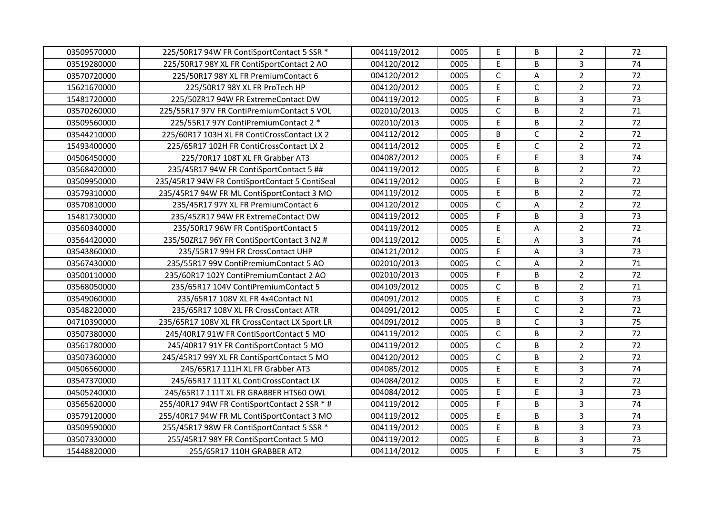| 03509570000 | 225/50R17 94W FR ContiSportContact 5 SSR *     | 004119/2012 | 0005 | $\mathsf E$    | B            | $\overline{2}$ | 72 |
|-------------|------------------------------------------------|-------------|------|----------------|--------------|----------------|----|
| 03519280000 | 225/50R17 98Y XL FR ContiSportContact 2 AO     | 004120/2012 | 0005 | E              | B            | $\overline{3}$ | 74 |
| 03570720000 | 225/50R17 98Y XL FR PremiumContact 6           | 004120/2012 | 0005 | $\mathsf C$    | A            | $\overline{2}$ | 72 |
| 15621670000 | 225/50R17 98Y XL FR ProTech HP                 | 004120/2012 | 0005 | E              | $\mathsf{C}$ | $\overline{2}$ | 72 |
| 15481720000 | 225/50ZR17 94W FR ExtremeContact DW            | 004119/2012 | 0005 | E              | B            | $\overline{3}$ | 73 |
| 03570260000 | 225/55R17 97V FR ContiPremiumContact 5 VOL     | 002010/2013 | 0005 | $\mathsf{C}$   | B            | $\overline{2}$ | 71 |
| 03509560000 | 225/55R17 97Y ContiPremiumContact 2 *          | 002010/2013 | 0005 | E              | B            | $\overline{2}$ | 72 |
| 03544210000 | 225/60R17 103H XL FR ContiCrossContact LX 2    | 004112/2012 | 0005 | B              | $\mathsf C$  | $\overline{2}$ | 72 |
| 15493400000 | 225/65R17 102H FR ContiCrossContact LX 2       | 004114/2012 | 0005 | E              | C            | $\overline{2}$ | 72 |
| 04506450000 | 225/70R17 108T XL FR Grabber AT3               | 004087/2012 | 0005 | E              | E            | 3              | 74 |
| 03568420000 | 235/45R17 94W FR ContiSportContact 5 ##        | 004119/2012 | 0005 | E              | B            | $\overline{2}$ | 72 |
| 03509950000 | 235/45R17 94W FR ContiSportContact 5 ContiSeal | 004119/2012 | 0005 | $\mathsf E$    | B            | $\overline{2}$ | 72 |
| 03579310000 | 235/45R17 94W FR ML ContiSportContact 3 MO     | 004119/2012 | 0005 | E              | B            | $\overline{2}$ | 72 |
| 03570810000 | 235/45R17 97Y XL FR PremiumContact 6           | 004120/2012 | 0005 | C              | Α            | $\overline{2}$ | 72 |
| 15481730000 | 235/45ZR17 94W FR ExtremeContact DW            | 004119/2012 | 0005 | $\overline{F}$ | B            | $\overline{3}$ | 73 |
| 03560340000 | 235/50R17 96W FR ContiSportContact 5           | 004119/2012 | 0005 | $\mathsf E$    | А            | $\overline{2}$ | 72 |
| 03564420000 | 235/50ZR17 96Y FR ContiSportContact 3 N2 #     | 004119/2012 | 0005 | $\mathsf E$    | A            | $\overline{3}$ | 74 |
| 03543860000 | 235/55R17 99H FR CrossContact UHP              | 004121/2012 | 0005 | E              | A            | $\overline{3}$ | 73 |
| 03567430000 | 235/55R17 99V ContiPremiumContact 5 AO         | 002010/2013 | 0005 | $\mathsf{C}$   | A            | $\overline{2}$ | 71 |
| 03500110000 | 235/60R17 102Y ContiPremiumContact 2 AO        | 002010/2013 | 0005 | $\overline{F}$ | B            | $\overline{2}$ | 72 |
| 03568050000 | 235/65R17 104V ContiPremiumContact 5           | 004109/2012 | 0005 | $\mathsf{C}$   | B            | $\overline{2}$ | 71 |
| 03549060000 | 235/65R17 108V XL FR 4x4Contact N1             | 004091/2012 | 0005 | E              | $\mathsf{C}$ | $\overline{3}$ | 73 |
| 03548220000 | 235/65R17 108V XL FR CrossContact ATR          | 004091/2012 | 0005 | E              | $\mathsf{C}$ | $\overline{2}$ | 72 |
| 04710390000 | 235/65R17 108V XL FR CrossContact LX Sport LR  | 004091/2012 | 0005 | B              | C            | $\overline{3}$ | 75 |
| 03507380000 | 245/40R17 91W FR ContiSportContact 5 MO        | 004119/2012 | 0005 | $\mathsf{C}$   | B            | $\overline{2}$ | 72 |
| 03561780000 | 245/40R17 91Y FR ContiSportContact 5 MO        | 004119/2012 | 0005 | $\mathsf C$    | B            | $\overline{2}$ | 72 |
| 03507360000 | 245/45R17 99Y XL FR ContiSportContact 5 MO     | 004120/2012 | 0005 | $\mathsf{C}$   | B            | $\overline{2}$ | 72 |
| 04506560000 | 245/65R17 111H XL FR Grabber AT3               | 004085/2012 | 0005 | E              | E.           | $\overline{3}$ | 74 |
| 03547370000 | 245/65R17 111T XL ContiCrossContact LX         | 004084/2012 | 0005 | E              | E.           | $\overline{2}$ | 72 |
| 04505240000 | 245/65R17 111T XL FR GRABBER HTS60 OWL         | 004084/2012 | 0005 | E              | E            | 3              | 73 |
| 03565620000 | 255/40R17 94W FR ContiSportContact 2 SSR * #   | 004119/2012 | 0005 | $\overline{F}$ | B            | $\overline{3}$ | 74 |
| 03579120000 | 255/40R17 94W FR ML ContiSportContact 3 MO     | 004119/2012 | 0005 | $\mathsf E$    | B            | $\overline{3}$ | 74 |
| 03509590000 | 255/45R17 98W FR ContiSportContact 5 SSR *     | 004119/2012 | 0005 | $\mathsf E$    | B            | $\overline{3}$ | 73 |
| 03507330000 | 255/45R17 98Y FR ContiSportContact 5 MO        | 004119/2012 | 0005 | E              | B            | 3              | 73 |
| 15448820000 | 255/65R17 110H GRABBER AT2                     | 004114/2012 | 0005 | F              | E            | $\overline{3}$ | 75 |
|             |                                                |             |      |                |              |                |    |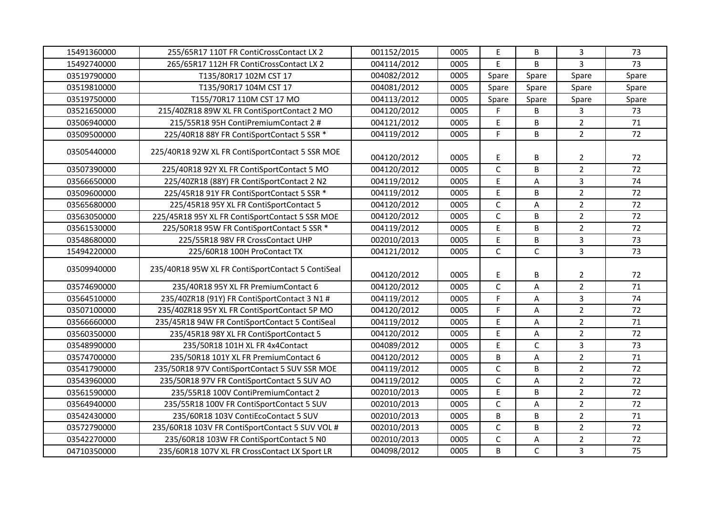| 15491360000 | 255/65R17 110T FR ContiCrossContact LX 2          | 001152/2015 | 0005 | $\mathsf E$  | B            | $\mathbf{3}$   | 73    |
|-------------|---------------------------------------------------|-------------|------|--------------|--------------|----------------|-------|
| 15492740000 | 265/65R17 112H FR ContiCrossContact LX 2          | 004114/2012 | 0005 | E            | B            | 3              | 73    |
| 03519790000 | T135/80R17 102M CST 17                            | 004082/2012 | 0005 | Spare        | Spare        | Spare          | Spare |
| 03519810000 | T135/90R17 104M CST 17                            | 004081/2012 | 0005 | Spare        | Spare        | Spare          | Spare |
| 03519750000 | T155/70R17 110M CST 17 MO                         | 004113/2012 | 0005 | Spare        | Spare        | Spare          | Spare |
| 03521650000 | 215/40ZR18 89W XL FR ContiSportContact 2 MO       | 004120/2012 | 0005 | F            | B            | 3              | 73    |
| 03506940000 | 215/55R18 95H ContiPremiumContact 2 #             | 004121/2012 | 0005 | E            | B            | $\overline{2}$ | 71    |
| 03509500000 | 225/40R18 88Y FR ContiSportContact 5 SSR *        | 004119/2012 | 0005 | F            | B            | $\overline{2}$ | 72    |
| 03505440000 | 225/40R18 92W XL FR ContiSportContact 5 SSR MOE   | 004120/2012 | 0005 | E            | B            | $\overline{2}$ | 72    |
| 03507390000 | 225/40R18 92Y XL FR ContiSportContact 5 MO        | 004120/2012 | 0005 | $\mathsf{C}$ | B            | $\overline{2}$ | 72    |
| 03566650000 | 225/40ZR18 (88Y) FR ContiSportContact 2 N2        | 004119/2012 | 0005 | $\mathsf E$  | А            | 3              | 74    |
| 03509600000 | 225/45R18 91Y FR ContiSportContact 5 SSR *        | 004119/2012 | 0005 | $\mathsf E$  | B            | $\overline{2}$ | 72    |
| 03565680000 | 225/45R18 95Y XL FR ContiSportContact 5           | 004120/2012 | 0005 | $\mathsf{C}$ | $\sf A$      | $\overline{2}$ | 72    |
| 03563050000 | 225/45R18 95Y XL FR ContiSportContact 5 SSR MOE   | 004120/2012 | 0005 | $\mathsf C$  | B            | $\overline{2}$ | 72    |
| 03561530000 | 225/50R18 95W FR ContiSportContact 5 SSR *        | 004119/2012 | 0005 | $\mathsf E$  | B            | $\overline{2}$ | 72    |
| 03548680000 | 225/55R18 98V FR CrossContact UHP                 | 002010/2013 | 0005 | $\mathsf E$  | B            | $\overline{3}$ | 73    |
| 15494220000 | 225/60R18 100H ProContact TX                      | 004121/2012 | 0005 | $\mathsf{C}$ | $\mathsf{C}$ | $\overline{3}$ | 73    |
| 03509940000 | 235/40R18 95W XL FR ContiSportContact 5 ContiSeal | 004120/2012 | 0005 | Е            | В            | 2              | 72    |
| 03574690000 | 235/40R18 95Y XL FR PremiumContact 6              | 004120/2012 | 0005 | $\mathsf{C}$ | A            | $\overline{2}$ | 71    |
| 03564510000 | 235/40ZR18 (91Y) FR ContiSportContact 3 N1 #      | 004119/2012 | 0005 | F            | A            | $\overline{3}$ | 74    |
| 03507100000 | 235/40ZR18 95Y XL FR ContiSportContact 5P MO      | 004120/2012 | 0005 | F            | $\sf A$      | $\overline{2}$ | 72    |
| 03566660000 | 235/45R18 94W FR ContiSportContact 5 ContiSeal    | 004119/2012 | 0005 | $\mathsf E$  | A            | $\overline{2}$ | 71    |
| 03560350000 | 235/45R18 98Y XL FR ContiSportContact 5           | 004120/2012 | 0005 | $\mathsf E$  | A            | $\overline{2}$ | 72    |
| 03548990000 | 235/50R18 101H XL FR 4x4Contact                   | 004089/2012 | 0005 | $\mathsf E$  | $\mathsf{C}$ | $\overline{3}$ | 73    |
| 03574700000 | 235/50R18 101Y XL FR PremiumContact 6             | 004120/2012 | 0005 | B            | A            | $\overline{2}$ | 71    |
| 03541790000 | 235/50R18 97V ContiSportContact 5 SUV SSR MOE     | 004119/2012 | 0005 | $\mathsf{C}$ | B            | $\overline{2}$ | 72    |
| 03543960000 | 235/50R18 97V FR ContiSportContact 5 SUV AO       | 004119/2012 | 0005 | $\mathsf{C}$ | Α            | $\overline{2}$ | 72    |
| 03561590000 | 235/55R18 100V ContiPremiumContact 2              | 002010/2013 | 0005 | $\mathsf E$  | B            | $\overline{2}$ | 72    |
| 03564940000 | 235/55R18 100V FR ContiSportContact 5 SUV         | 002010/2013 | 0005 | $\mathsf{C}$ | $\sf A$      | $\overline{2}$ | 72    |
| 03542430000 | 235/60R18 103V ContiEcoContact 5 SUV              | 002010/2013 | 0005 | B            | B            | $\overline{2}$ | 71    |
| 03572790000 | 235/60R18 103V FR ContiSportContact 5 SUV VOL #   | 002010/2013 | 0005 | $\mathsf C$  | B            | $\overline{2}$ | 72    |
| 03542270000 | 235/60R18 103W FR ContiSportContact 5 N0          | 002010/2013 | 0005 | $\mathsf C$  | А            | $\overline{2}$ | 72    |
| 04710350000 | 235/60R18 107V XL FR CrossContact LX Sport LR     | 004098/2012 | 0005 | B            | $\mathsf{C}$ | $\overline{3}$ | 75    |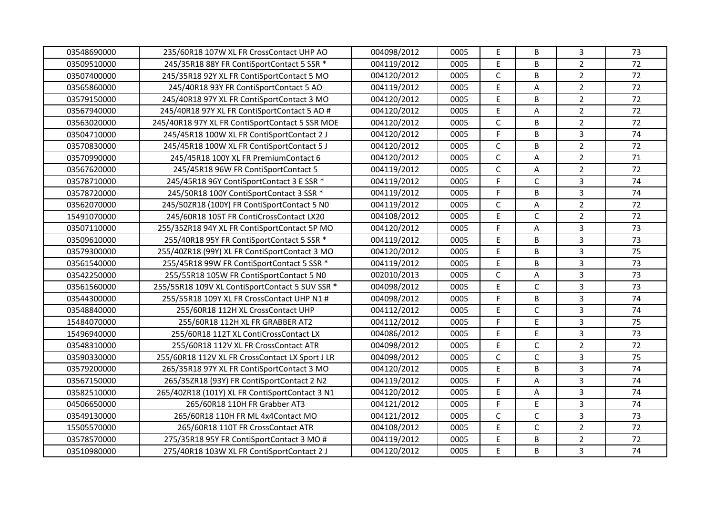| 03548690000 | 235/60R18 107W XL FR CrossContact UHP AO        | 004098/2012 | 0005 | $\mathsf E$  | B            | $\mathbf{3}$   | 73 |
|-------------|-------------------------------------------------|-------------|------|--------------|--------------|----------------|----|
| 03509510000 | 245/35R18 88Y FR ContiSportContact 5 SSR *      | 004119/2012 | 0005 | $\mathsf E$  | B            | $\overline{2}$ | 72 |
| 03507400000 | 245/35R18 92Y XL FR ContiSportContact 5 MO      | 004120/2012 | 0005 | $\mathsf C$  | B            | $\overline{2}$ | 72 |
| 03565860000 | 245/40R18 93Y FR ContiSportContact 5 AO         | 004119/2012 | 0005 | E            | Α            | $\overline{2}$ | 72 |
| 03579150000 | 245/40R18 97Y XL FR ContiSportContact 3 MO      | 004120/2012 | 0005 | $\mathsf E$  | B            | $\overline{2}$ | 72 |
| 03567940000 | 245/40R18 97Y XL FR ContiSportContact 5 AO #    | 004120/2012 | 0005 | E            | Α            | $\overline{2}$ | 72 |
| 03563020000 | 245/40R18 97Y XL FR ContiSportContact 5 SSR MOE | 004120/2012 | 0005 | $\mathsf{C}$ | B            | $\overline{2}$ | 72 |
| 03504710000 | 245/45R18 100W XL FR ContiSportContact 2 J      | 004120/2012 | 0005 | $\mathsf F$  | B            | $\overline{3}$ | 74 |
| 03570830000 | 245/45R18 100W XL FR ContiSportContact 5 J      | 004120/2012 | 0005 | $\mathsf{C}$ | B            | $\overline{2}$ | 72 |
| 03570990000 | 245/45R18 100Y XL FR PremiumContact 6           | 004120/2012 | 0005 | $\mathsf C$  | A            | $\overline{2}$ | 71 |
| 03567620000 | 245/45R18 96W FR ContiSportContact 5            | 004119/2012 | 0005 | $\mathsf{C}$ | A            | $\overline{2}$ | 72 |
| 03578710000 | 245/45R18 96Y ContiSportContact 3 E SSR *       | 004119/2012 | 0005 | F.           | C            | $\overline{3}$ | 74 |
| 03578720000 | 245/50R18 100Y ContiSportContact 3 SSR *        | 004119/2012 | 0005 | F.           | B            | $\overline{3}$ | 74 |
| 03562070000 | 245/50ZR18 (100Y) FR ContiSportContact 5 N0     | 004119/2012 | 0005 | $\mathsf{C}$ | $\sf A$      | $\overline{2}$ | 72 |
| 15491070000 | 245/60R18 105T FR ContiCrossContact LX20        | 004108/2012 | 0005 | $\mathsf E$  | $\mathsf{C}$ | $\overline{2}$ | 72 |
| 03507110000 | 255/35ZR18 94Y XL FR ContiSportContact 5P MO    | 004120/2012 | 0005 | $\mathsf F$  | A            | $\mathbf{3}$   | 73 |
| 03509610000 | 255/40R18 95Y FR ContiSportContact 5 SSR *      | 004119/2012 | 0005 | $\mathsf E$  | B            | $\overline{3}$ | 73 |
| 03579300000 | 255/40ZR18 (99Y) XL FR ContiSportContact 3 MO   | 004120/2012 | 0005 | $\mathsf E$  | B            | $\overline{3}$ | 75 |
| 03561540000 | 255/45R18 99W FR ContiSportContact 5 SSR *      | 004119/2012 | 0005 | $\mathsf E$  | B            | $\overline{3}$ | 73 |
| 03542250000 | 255/55R18 105W FR ContiSportContact 5 N0        | 002010/2013 | 0005 | $\mathsf C$  | А            | $\overline{3}$ | 73 |
| 03561560000 | 255/55R18 109V XL ContiSportContact 5 SUV SSR * | 004098/2012 | 0005 | $\mathsf E$  | $\mathsf{C}$ | $\overline{3}$ | 73 |
| 03544300000 | 255/55R18 109Y XL FR CrossContact UHP N1 #      | 004098/2012 | 0005 | F            | B            | $\overline{3}$ | 74 |
| 03548840000 | 255/60R18 112H XL CrossContact UHP              | 004112/2012 | 0005 | $\mathsf E$  | $\mathsf{C}$ | $\overline{3}$ | 74 |
| 15484070000 | 255/60R18 112H XL FR GRABBER AT2                | 004112/2012 | 0005 | F            | E            | $\overline{3}$ | 75 |
| 15496940000 | 255/60R18 112T XL ContiCrossContact LX          | 004086/2012 | 0005 | $\mathsf E$  | E            | $\overline{3}$ | 73 |
| 03548310000 | 255/60R18 112V XL FR CrossContact ATR           | 004098/2012 | 0005 | $\mathsf E$  | $\mathsf{C}$ | $\overline{2}$ | 72 |
| 03590330000 | 255/60R18 112V XL FR CrossContact LX Sport J LR | 004098/2012 | 0005 | $\mathsf C$  | $\mathsf{C}$ | $\overline{3}$ | 75 |
| 03579200000 | 265/35R18 97Y XL FR ContiSportContact 3 MO      | 004120/2012 | 0005 | $\mathsf E$  | B            | $\overline{3}$ | 74 |
| 03567150000 | 265/35ZR18 (93Y) FR ContiSportContact 2 N2      | 004119/2012 | 0005 | F            | A            | $\overline{3}$ | 74 |
| 03582510000 | 265/40ZR18 (101Y) XL FR ContiSportContact 3 N1  | 004120/2012 | 0005 | $\mathsf E$  | А            | $\overline{3}$ | 74 |
| 04506650000 | 265/60R18 110H FR Grabber AT3                   | 004121/2012 | 0005 | $\mathsf F$  | E            | $\overline{3}$ | 74 |
| 03549130000 | 265/60R18 110H FR ML 4x4Contact MO              | 004121/2012 | 0005 | $\mathsf C$  | $\mathsf{C}$ | $\overline{3}$ | 73 |
| 15505570000 | 265/60R18 110T FR CrossContact ATR              | 004108/2012 | 0005 | $\mathsf E$  | $\mathsf{C}$ | $\overline{2}$ | 72 |
| 03578570000 | 275/35R18 95Y FR ContiSportContact 3 MO #       | 004119/2012 | 0005 | E            | B            | $\overline{2}$ | 72 |
| 03510980000 | 275/40R18 103W XL FR ContiSportContact 2 J      | 004120/2012 | 0005 | $\mathsf E$  | B            | $\overline{3}$ | 74 |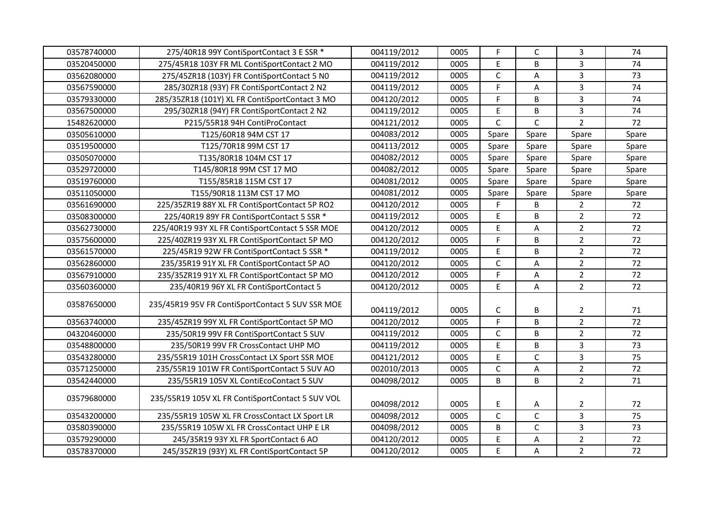| 03578740000 | 275/40R18 99Y ContiSportContact 3 E SSR *        | 004119/2012 | 0005 | F            | C            | $\mathbf{3}$   | 74    |
|-------------|--------------------------------------------------|-------------|------|--------------|--------------|----------------|-------|
| 03520450000 | 275/45R18 103Y FR ML ContiSportContact 2 MO      | 004119/2012 | 0005 | $\mathsf E$  | B            | $\overline{3}$ | 74    |
| 03562080000 | 275/45ZR18 (103Y) FR ContiSportContact 5 N0      | 004119/2012 | 0005 | $\mathsf C$  | A            | $\overline{3}$ | 73    |
| 03567590000 | 285/30ZR18 (93Y) FR ContiSportContact 2 N2       | 004119/2012 | 0005 | F            | Α            | 3              | 74    |
| 03579330000 | 285/35ZR18 (101Y) XL FR ContiSportContact 3 MO   | 004120/2012 | 0005 | F            | B            | $\overline{3}$ | 74    |
| 03567500000 | 295/30ZR18 (94Y) FR ContiSportContact 2 N2       | 004119/2012 | 0005 | $\mathsf E$  | B            | $\overline{3}$ | 74    |
| 15482620000 | P215/55R18 94H ContiProContact                   | 004121/2012 | 0005 | $\mathsf{C}$ | $\mathsf{C}$ | $\overline{2}$ | 72    |
| 03505610000 | T125/60R18 94M CST 17                            | 004083/2012 | 0005 | Spare        | Spare        | Spare          | Spare |
| 03519500000 | T125/70R18 99M CST 17                            | 004113/2012 | 0005 | Spare        | Spare        | Spare          | Spare |
| 03505070000 | T135/80R18 104M CST 17                           | 004082/2012 | 0005 | Spare        | Spare        | Spare          | Spare |
| 03529720000 | T145/80R18 99M CST 17 MO                         | 004082/2012 | 0005 | Spare        | Spare        | Spare          | Spare |
| 03519760000 | T155/85R18 115M CST 17                           | 004081/2012 | 0005 | Spare        | Spare        | Spare          | Spare |
| 03511050000 | T155/90R18 113M CST 17 MO                        | 004081/2012 | 0005 | Spare        | Spare        | Spare          | Spare |
| 03561690000 | 225/35ZR19 88Y XL FR ContiSportContact 5P RO2    | 004120/2012 | 0005 | F.           | B            | $\overline{2}$ | 72    |
| 03508300000 | 225/40R19 89Y FR ContiSportContact 5 SSR *       | 004119/2012 | 0005 | $\mathsf E$  | B            | $\overline{2}$ | 72    |
| 03562730000 | 225/40R19 93Y XL FR ContiSportContact 5 SSR MOE  | 004120/2012 | 0005 | $\mathsf E$  | $\mathsf A$  | $\overline{2}$ | 72    |
| 03575600000 | 225/40ZR19 93Y XL FR ContiSportContact 5P MO     | 004120/2012 | 0005 | F            | B            | $\overline{2}$ | 72    |
| 03561570000 | 225/45R19 92W FR ContiSportContact 5 SSR *       | 004119/2012 | 0005 | E            | B            | $\overline{2}$ | 72    |
| 03562860000 | 235/35R19 91Y XL FR ContiSportContact 5P AO      | 004120/2012 | 0005 | $\mathsf{C}$ | A            | $\overline{2}$ | 72    |
| 03567910000 | 235/35ZR19 91Y XL FR ContiSportContact 5P MO     | 004120/2012 | 0005 | $\mathsf F$  | А            | $\overline{2}$ | 72    |
| 03560360000 | 235/40R19 96Y XL FR ContiSportContact 5          | 004120/2012 | 0005 | E            | $\mathsf A$  | $\overline{2}$ | 72    |
| 03587650000 | 235/45R19 95V FR ContiSportContact 5 SUV SSR MOE | 004119/2012 | 0005 | $\mathsf C$  | В            | $\overline{2}$ | 71    |
| 03563740000 | 235/45ZR19 99Y XL FR ContiSportContact 5P MO     | 004120/2012 | 0005 | $\mathsf F$  | B            | $\overline{2}$ | 72    |
| 04320460000 | 235/50R19 99V FR ContiSportContact 5 SUV         | 004119/2012 | 0005 | $\mathsf C$  | B            | $\overline{2}$ | 72    |
| 03548800000 | 235/50R19 99V FR CrossContact UHP MO             | 004119/2012 | 0005 | $\mathsf E$  | B            | $\overline{3}$ | 73    |
| 03543280000 | 235/55R19 101H CrossContact LX Sport SSR MOE     | 004121/2012 | 0005 | E            | $\mathsf{C}$ | $\overline{3}$ | 75    |
| 03571250000 | 235/55R19 101W FR ContiSportContact 5 SUV AO     | 002010/2013 | 0005 | $\mathsf C$  | A            | $\overline{2}$ | 72    |
| 03542440000 | 235/55R19 105V XL ContiEcoContact 5 SUV          | 004098/2012 | 0005 | B            | B            | $\overline{2}$ | 71    |
| 03579680000 | 235/55R19 105V XL FR ContiSportContact 5 SUV VOL | 004098/2012 | 0005 | $\mathsf E$  | Α            | $\overline{2}$ | 72    |
| 03543200000 | 235/55R19 105W XL FR CrossContact LX Sport LR    | 004098/2012 | 0005 | $\mathsf{C}$ | $\mathsf C$  | $\mathbf{3}$   | 75    |
| 03580390000 | 235/55R19 105W XL FR CrossContact UHP E LR       | 004098/2012 | 0005 | B            | $\mathsf{C}$ | $\overline{3}$ | 73    |
| 03579290000 | 245/35R19 93Y XL FR SportContact 6 AO            | 004120/2012 | 0005 | $\mathsf E$  | A            | $\overline{2}$ | 72    |
| 03578370000 | 245/35ZR19 (93Y) XL FR ContiSportContact 5P      | 004120/2012 | 0005 | $\mathsf E$  | A            | $\overline{2}$ | 72    |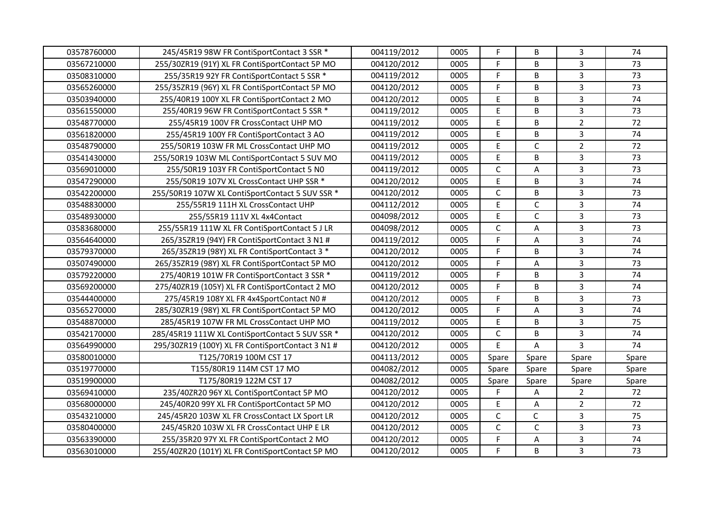| 03578760000 | 245/45R19 98W FR ContiSportContact 3 SSR *       | 004119/2012 | 0005 | F            | B            | $\mathbf{3}$   | 74    |
|-------------|--------------------------------------------------|-------------|------|--------------|--------------|----------------|-------|
| 03567210000 | 255/30ZR19 (91Y) XL FR ContiSportContact 5P MO   | 004120/2012 | 0005 | F            | B            | $\overline{3}$ | 73    |
| 03508310000 | 255/35R19 92Y FR ContiSportContact 5 SSR *       | 004119/2012 | 0005 | F            | B            | $\overline{3}$ | 73    |
| 03565260000 | 255/35ZR19 (96Y) XL FR ContiSportContact 5P MO   | 004120/2012 | 0005 | F.           | B            | 3              | 73    |
| 03503940000 | 255/40R19 100Y XL FR ContiSportContact 2 MO      | 004120/2012 | 0005 | $\mathsf E$  | B            | $\overline{3}$ | 74    |
| 03561550000 | 255/40R19 96W FR ContiSportContact 5 SSR *       | 004119/2012 | 0005 | $\mathsf E$  | B            | 3              | 73    |
| 03548770000 | 255/45R19 100V FR CrossContact UHP MO            | 004119/2012 | 0005 | E            | B            | $\overline{2}$ | 72    |
| 03561820000 | 255/45R19 100Y FR ContiSportContact 3 AO         | 004119/2012 | 0005 | $\mathsf E$  | B            | $\mathbf{3}$   | 74    |
| 03548790000 | 255/50R19 103W FR ML CrossContact UHP MO         | 004119/2012 | 0005 | $\mathsf E$  | $\mathsf C$  | $\overline{2}$ | 72    |
| 03541430000 | 255/50R19 103W ML ContiSportContact 5 SUV MO     | 004119/2012 | 0005 | $\mathsf E$  | B            | $\overline{3}$ | 73    |
| 03569010000 | 255/50R19 103Y FR ContiSportContact 5 N0         | 004119/2012 | 0005 | $\mathsf{C}$ | А            | $\overline{3}$ | 73    |
| 03547290000 | 255/50R19 107V XL CrossContact UHP SSR *         | 004120/2012 | 0005 | $\mathsf E$  | B            | 3              | 74    |
| 03542200000 | 255/50R19 107W XL ContiSportContact 5 SUV SSR *  | 004120/2012 | 0005 | $\mathsf C$  | B            | $\overline{3}$ | 73    |
| 03548830000 | 255/55R19 111H XL CrossContact UHP               | 004112/2012 | 0005 | $\mathsf E$  | $\mathsf{C}$ | 3              | 74    |
| 03548930000 | 255/55R19 111V XL 4x4Contact                     | 004098/2012 | 0005 | $\mathsf E$  | $\mathsf{C}$ | 3              | 73    |
| 03583680000 | 255/55R19 111W XL FR ContiSportContact 5 J LR    | 004098/2012 | 0005 | $\mathsf{C}$ | A            | $\mathbf{3}$   | 73    |
| 03564640000 | 265/35ZR19 (94Y) FR ContiSportContact 3 N1 #     | 004119/2012 | 0005 | $\mathsf F$  | Α            | $\overline{3}$ | 74    |
| 03579370000 | 265/35ZR19 (98Y) XL FR ContiSportContact 3 *     | 004120/2012 | 0005 | F            | B            | $\overline{3}$ | 74    |
| 03507490000 | 265/35ZR19 (98Y) XL FR ContiSportContact 5P MO   | 004120/2012 | 0005 | F            | А            | $\overline{3}$ | 73    |
| 03579220000 | 275/40R19 101W FR ContiSportContact 3 SSR *      | 004119/2012 | 0005 | F            | B            | $\overline{3}$ | 74    |
| 03569200000 | 275/40ZR19 (105Y) XL FR ContiSportContact 2 MO   | 004120/2012 | 0005 | F            | B            | $\overline{3}$ | 74    |
| 03544400000 | 275/45R19 108Y XL FR 4x4SportContact N0 #        | 004120/2012 | 0005 | F            | B            | 3              | 73    |
| 03565270000 | 285/30ZR19 (98Y) XL FR ContiSportContact 5P MO   | 004120/2012 | 0005 | F            | A            | $\overline{3}$ | 74    |
| 03548870000 | 285/45R19 107W FR ML CrossContact UHP MO         | 004119/2012 | 0005 | Е            | B            | $\mathbf{3}$   | 75    |
| 03542170000 | 285/45R19 111W XL ContiSportContact 5 SUV SSR *  | 004120/2012 | 0005 | $\mathsf C$  | B            | $\overline{3}$ | 74    |
| 03564990000 | 295/30ZR19 (100Y) XL FR ContiSportContact 3 N1 # | 004120/2012 | 0005 | E            | A            | 3              | 74    |
| 03580010000 | T125/70R19 100M CST 17                           | 004113/2012 | 0005 | Spare        | Spare        | Spare          | Spare |
| 03519770000 | T155/80R19 114M CST 17 MO                        | 004082/2012 | 0005 | Spare        | Spare        | Spare          | Spare |
| 03519900000 | T175/80R19 122M CST 17                           | 004082/2012 | 0005 | Spare        | Spare        | Spare          | Spare |
| 03569410000 | 235/40ZR20 96Y XL ContiSportContact 5P MO        | 004120/2012 | 0005 | F            | Α            | $\overline{2}$ | 72    |
| 03568000000 | 245/40R20 99Y XL FR ContiSportContact 5P MO      | 004120/2012 | 0005 | $\mathsf E$  | A            | $\overline{2}$ | 72    |
| 03543210000 | 245/45R20 103W XL FR CrossContact LX Sport LR    | 004120/2012 | 0005 | $\mathsf C$  | C            | $\mathbf{3}$   | 75    |
| 03580400000 | 245/45R20 103W XL FR CrossContact UHP E LR       | 004120/2012 | 0005 | $\mathsf C$  | $\mathsf{C}$ | $\overline{3}$ | 73    |
| 03563390000 | 255/35R20 97Y XL FR ContiSportContact 2 MO       | 004120/2012 | 0005 | F            | A            | $\mathbf{3}$   | 74    |
| 03563010000 | 255/40ZR20 (101Y) XL FR ContiSportContact 5P MO  | 004120/2012 | 0005 | F.           | B            | 3              | 73    |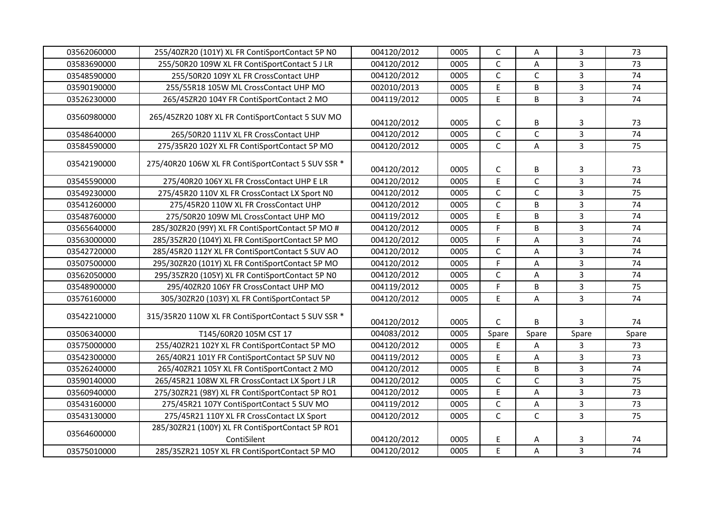| 03562060000 | 255/40ZR20 (101Y) XL FR ContiSportContact 5P NO                 | 004120/2012 | 0005 | $\mathsf C$    | Α            | $\overline{3}$ | 73    |
|-------------|-----------------------------------------------------------------|-------------|------|----------------|--------------|----------------|-------|
| 03583690000 | 255/50R20 109W XL FR ContiSportContact 5 J LR                   | 004120/2012 | 0005 | $\mathsf{C}$   | A            | $\overline{3}$ | 73    |
| 03548590000 | 255/50R20 109Y XL FR CrossContact UHP                           | 004120/2012 | 0005 | $\mathsf C$    | C            | $\overline{3}$ | 74    |
| 03590190000 | 255/55R18 105W ML CrossContact UHP MO                           | 002010/2013 | 0005 | E              | B            | $\overline{3}$ | 74    |
| 03526230000 | 265/45ZR20 104Y FR ContiSportContact 2 MO                       | 004119/2012 | 0005 | E              | B            | $\overline{3}$ | 74    |
| 03560980000 | 265/45ZR20 108Y XL FR ContiSportContact 5 SUV MO                | 004120/2012 | 0005 | $\mathsf{C}$   | B            | 3              | 73    |
| 03548640000 | 265/50R20 111V XL FR CrossContact UHP                           | 004120/2012 | 0005 | $\mathsf C$    | $\mathsf C$  | $\overline{3}$ | 74    |
| 03584590000 | 275/35R20 102Y XL FR ContiSportContact 5P MO                    | 004120/2012 | 0005 | $\mathsf{C}$   | A            | $\overline{3}$ | 75    |
| 03542190000 | 275/40R20 106W XL FR ContiSportContact 5 SUV SSR *              | 004120/2012 | 0005 | $\mathsf C$    | B            | 3              | 73    |
| 03545590000 | 275/40R20 106Y XL FR CrossContact UHP E LR                      | 004120/2012 | 0005 | E              | $\mathsf C$  | $\overline{3}$ | 74    |
| 03549230000 | 275/45R20 110V XL FR CrossContact LX Sport N0                   | 004120/2012 | 0005 | $\mathsf{C}$   | $\mathsf{C}$ | $\overline{3}$ | 75    |
| 03541260000 | 275/45R20 110W XL FR CrossContact UHP                           | 004120/2012 | 0005 | $\mathsf{C}$   | B            | $\overline{3}$ | 74    |
| 03548760000 | 275/50R20 109W ML CrossContact UHP MO                           | 004119/2012 | 0005 | E              | B            | $\overline{3}$ | 74    |
| 03565640000 | 285/30ZR20 (99Y) XL FR ContiSportContact 5P MO #                | 004120/2012 | 0005 | $\mathsf F$    | B            | $\overline{3}$ | 74    |
| 03563000000 | 285/35ZR20 (104Y) XL FR ContiSportContact 5P MO                 | 004120/2012 | 0005 | $\mathsf F$    | A            | $\overline{3}$ | 74    |
| 03542720000 | 285/45R20 112Y XL FR ContiSportContact 5 SUV AO                 | 004120/2012 | 0005 | $\mathsf{C}$   | Α            | $\overline{3}$ | 74    |
| 03507500000 | 295/30ZR20 (101Y) XL FR ContiSportContact 5P MO                 | 004120/2012 | 0005 | $\overline{F}$ | A            | $\overline{3}$ | 74    |
| 03562050000 | 295/35ZR20 (105Y) XL FR ContiSportContact 5P NO                 | 004120/2012 | 0005 | $\mathsf C$    | A            | $\overline{3}$ | 74    |
| 03548900000 | 295/40ZR20 106Y FR CrossContact UHP MO                          | 004119/2012 | 0005 | $\overline{F}$ | B            | $\overline{3}$ | 75    |
| 03576160000 | 305/30ZR20 (103Y) XL FR ContiSportContact 5P                    | 004120/2012 | 0005 | E              | A            | $\overline{3}$ | 74    |
| 03542210000 | 315/35R20 110W XL FR ContiSportContact 5 SUV SSR *              | 004120/2012 | 0005 | $\mathsf{C}$   | В            | 3              | 74    |
| 03506340000 | T145/60R20 105M CST 17                                          | 004083/2012 | 0005 | Spare          | Spare        | Spare          | Spare |
| 03575000000 | 255/40ZR21 102Y XL FR ContiSportContact 5P MO                   | 004120/2012 | 0005 | $\mathsf E$    | А            | 3              | 73    |
| 03542300000 | 265/40R21 101Y FR ContiSportContact 5P SUV N0                   | 004119/2012 | 0005 | E              | A            | $\overline{3}$ | 73    |
| 03526240000 | 265/40ZR21 105Y XL FR ContiSportContact 2 MO                    | 004120/2012 | 0005 | E              | B            | $\overline{3}$ | 74    |
| 03590140000 | 265/45R21 108W XL FR CrossContact LX Sport J LR                 | 004120/2012 | 0005 | $\mathsf{C}$   | $\mathsf{C}$ | $\overline{3}$ | 75    |
| 03560940000 | 275/30ZR21 (98Y) XL FR ContiSportContact 5P RO1                 | 004120/2012 | 0005 | E              | A            | $\overline{3}$ | 73    |
| 03543160000 | 275/45R21 107Y ContiSportContact 5 SUV MO                       | 004119/2012 | 0005 | $\mathsf{C}$   | A            | $\overline{3}$ | 73    |
| 03543130000 | 275/45R21 110Y XL FR CrossContact LX Sport                      | 004120/2012 | 0005 | $\mathsf{C}$   | $\mathsf{C}$ | $\overline{3}$ | 75    |
| 03564600000 | 285/30ZR21 (100Y) XL FR ContiSportContact 5P RO1<br>ContiSilent | 004120/2012 | 0005 | E              | Α            | 3              | 74    |
| 03575010000 | 285/35ZR21 105Y XL FR ContiSportContact 5P MO                   | 004120/2012 | 0005 | E              | A            | $\overline{3}$ | 74    |
|             |                                                                 |             |      |                |              |                |       |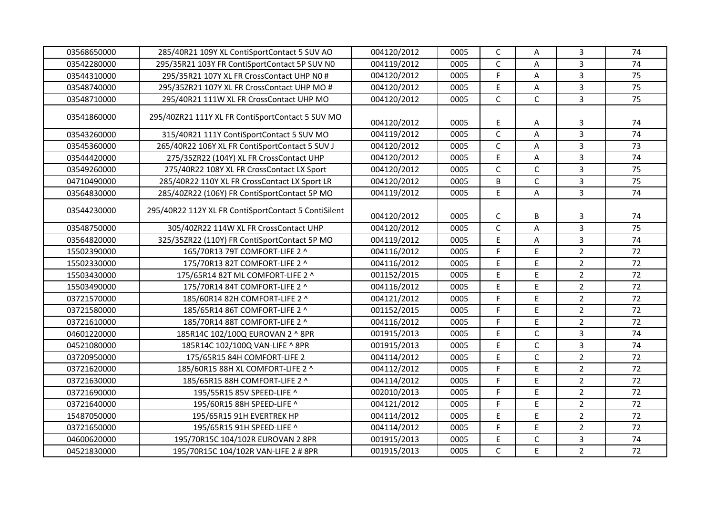| 03568650000 | 285/40R21 109Y XL ContiSportContact 5 SUV AO         | 004120/2012 | 0005 | $\mathsf{C}$ | А            | 3              | 74 |
|-------------|------------------------------------------------------|-------------|------|--------------|--------------|----------------|----|
| 03542280000 | 295/35R21 103Y FR ContiSportContact 5P SUV N0        | 004119/2012 | 0005 | $\mathsf C$  | Α            | 3              | 74 |
| 03544310000 | 295/35R21 107Y XL FR CrossContact UHP N0 #           | 004120/2012 | 0005 | F            | A            | 3              | 75 |
| 03548740000 | 295/35ZR21 107Y XL FR CrossContact UHP MO #          | 004120/2012 | 0005 | E            | A            | $\overline{3}$ | 75 |
| 03548710000 | 295/40R21 111W XL FR CrossContact UHP MO             | 004120/2012 | 0005 | $\mathsf{C}$ | $\mathsf{C}$ | $\overline{3}$ | 75 |
| 03541860000 | 295/40ZR21 111Y XL FR ContiSportContact 5 SUV MO     | 004120/2012 | 0005 | E            | А            | 3              | 74 |
| 03543260000 | 315/40R21 111Y ContiSportContact 5 SUV MO            | 004119/2012 | 0005 | $\mathsf C$  | A            | $\overline{3}$ | 74 |
| 03545360000 | 265/40R22 106Y XL FR ContiSportContact 5 SUV J       | 004120/2012 | 0005 | $\mathsf C$  | А            | $\overline{3}$ | 73 |
| 03544420000 | 275/35ZR22 (104Y) XL FR CrossContact UHP             | 004120/2012 | 0005 | E            | А            | 3              | 74 |
| 03549260000 | 275/40R22 108Y XL FR CrossContact LX Sport           | 004120/2012 | 0005 | C            | $\mathsf{C}$ | 3              | 75 |
| 04710490000 | 285/40R22 110Y XL FR CrossContact LX Sport LR        | 004120/2012 | 0005 | B            | $\mathsf{C}$ | $\overline{3}$ | 75 |
| 03564830000 | 285/40ZR22 (106Y) FR ContiSportContact 5P MO         | 004119/2012 | 0005 | E            | A            | $\overline{3}$ | 74 |
| 03544230000 | 295/40R22 112Y XL FR ContiSportContact 5 ContiSilent | 004120/2012 | 0005 | C            | B            | 3              | 74 |
| 03548750000 | 305/40ZR22 114W XL FR CrossContact UHP               | 004120/2012 | 0005 | $\mathsf{C}$ | A            | $\overline{3}$ | 75 |
| 03564820000 | 325/35ZR22 (110Y) FR ContiSportContact 5P MO         | 004119/2012 | 0005 | E            | А            | $\overline{3}$ | 74 |
| 15502390000 | 165/70R13 79T COMFORT-LIFE 2 ^                       | 004116/2012 | 0005 | F            | E            | $\overline{2}$ | 72 |
| 15502330000 | 175/70R13 82T COMFORT-LIFE 2 ^                       | 004116/2012 | 0005 | E            | E            | $\overline{2}$ | 72 |
| 15503430000 | 175/65R14 82T ML COMFORT-LIFE 2 ^                    | 001152/2015 | 0005 | E            | E            | $\overline{2}$ | 72 |
| 15503490000 | 175/70R14 84T COMFORT-LIFE 2 ^                       | 004116/2012 | 0005 | E            | E            | $\overline{2}$ | 72 |
| 03721570000 | 185/60R14 82H COMFORT-LIFE 2 ^                       | 004121/2012 | 0005 | F            | E            | $\overline{2}$ | 72 |
| 03721580000 | 185/65R14 86T COMFORT-LIFE 2 ^                       | 001152/2015 | 0005 | F            | E            | $\overline{2}$ | 72 |
| 03721610000 | 185/70R14 88T COMFORT-LIFE 2 ^                       | 004116/2012 | 0005 | F            | E            | $\overline{2}$ | 72 |
| 04601220000 | 185R14C 102/100Q EUROVAN 2 ^ 8PR                     | 001915/2013 | 0005 | E            | $\mathsf C$  | $\mathbf{3}$   | 74 |
| 04521080000 | 185R14C 102/100Q VAN-LIFE ^ 8PR                      | 001915/2013 | 0005 | E            | $\mathsf{C}$ | 3              | 74 |
| 03720950000 | 175/65R15 84H COMFORT-LIFE 2                         | 004114/2012 | 0005 | E            | $\mathsf{C}$ | $\overline{2}$ | 72 |
| 03721620000 | 185/60R15 88H XL COMFORT-LIFE 2 ^                    | 004112/2012 | 0005 | F            | E            | $\overline{2}$ | 72 |
| 03721630000 | 185/65R15 88H COMFORT-LIFE 2 ^                       | 004114/2012 | 0005 | F            | E            | $\overline{2}$ | 72 |
| 03721690000 | 195/55R15 85V SPEED-LIFE ^                           | 002010/2013 | 0005 | F            | E            | $\overline{2}$ | 72 |
| 03721640000 | 195/60R15 88H SPEED-LIFE ^                           | 004121/2012 | 0005 | F            | E            | $\overline{2}$ | 72 |
| 15487050000 | 195/65R15 91H EVERTREK HP                            | 004114/2012 | 0005 | $\mathsf E$  | $\mathsf E$  | $\overline{2}$ | 72 |
| 03721650000 | 195/65R15 91H SPEED-LIFE ^                           | 004114/2012 | 0005 | F            | E            | $\overline{2}$ | 72 |
| 04600620000 | 195/70R15C 104/102R EUROVAN 2 8PR                    | 001915/2013 | 0005 | E            | $\mathsf{C}$ | 3              | 74 |
| 04521830000 | 195/70R15C 104/102R VAN-LIFE 2 # 8PR                 | 001915/2013 | 0005 | $\mathsf{C}$ | E            | $\overline{2}$ | 72 |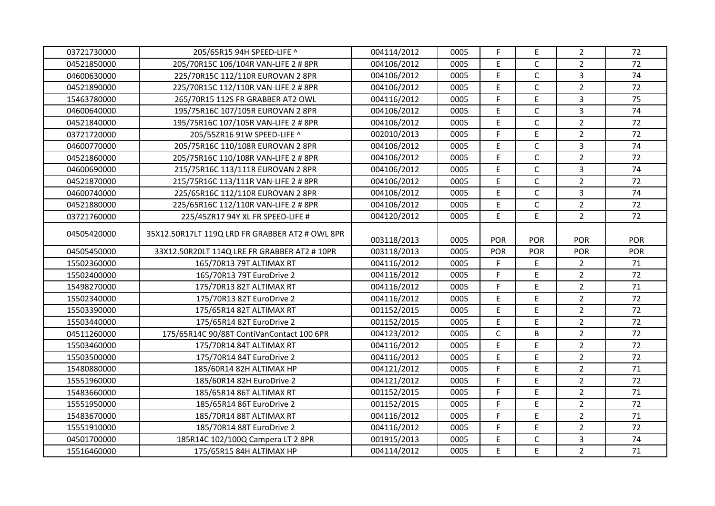| 03721730000 | 205/65R15 94H SPEED-LIFE ^                      | 004114/2012 | 0005 | F           | E              | $\overline{2}$ | 72         |
|-------------|-------------------------------------------------|-------------|------|-------------|----------------|----------------|------------|
| 04521850000 | 205/70R15C 106/104R VAN-LIFE 2 # 8PR            | 004106/2012 | 0005 | E           | $\mathsf{C}$   | $\overline{2}$ | 72         |
| 04600630000 | 225/70R15C 112/110R EUROVAN 2 8PR               | 004106/2012 | 0005 | E           | $\mathsf C$    | 3              | 74         |
| 04521890000 | 225/70R15C 112/110R VAN-LIFE 2 # 8PR            | 004106/2012 | 0005 | E           | $\mathsf{C}$   | $\overline{2}$ | 72         |
| 15463780000 | 265/70R15 112S FR GRABBER AT2 OWL               | 004116/2012 | 0005 | F           | E              | $\overline{3}$ | 75         |
| 04600640000 | 195/75R16C 107/105R EUROVAN 2 8PR               | 004106/2012 | 0005 | E           | $\mathsf{C}$   | 3              | 74         |
| 04521840000 | 195/75R16C 107/105R VAN-LIFE 2 # 8PR            | 004106/2012 | 0005 | E           | $\mathsf{C}$   | $\overline{2}$ | 72         |
| 03721720000 | 205/55ZR16 91W SPEED-LIFE ^                     | 002010/2013 | 0005 | F           | $\mathsf E$    | $\overline{2}$ | 72         |
| 04600770000 | 205/75R16C 110/108R EUROVAN 2 8PR               | 004106/2012 | 0005 | E           | $\mathsf C$    | $\overline{3}$ | 74         |
| 04521860000 | 205/75R16C 110/108R VAN-LIFE 2 # 8PR            | 004106/2012 | 0005 | E           | $\mathsf{C}$   | $\overline{2}$ | 72         |
| 04600690000 | 215/75R16C 113/111R EUROVAN 2 8PR               | 004106/2012 | 0005 | E           | $\mathsf{C}$   | $\overline{3}$ | 74         |
| 04521870000 | 215/75R16C 113/111R VAN-LIFE 2 # 8PR            | 004106/2012 | 0005 | E           | $\mathsf C$    | $\overline{2}$ | 72         |
| 04600740000 | 225/65R16C 112/110R EUROVAN 2 8PR               | 004106/2012 | 0005 | E           | $\mathsf{C}$   | $\overline{3}$ | 74         |
| 04521880000 | 225/65R16C 112/110R VAN-LIFE 2 # 8PR            | 004106/2012 | 0005 | E           | $\mathsf{C}$   | $\overline{2}$ | 72         |
| 03721760000 | 225/45ZR17 94Y XL FR SPEED-LIFE #               | 004120/2012 | 0005 | E           | $\overline{E}$ | $\overline{2}$ | 72         |
| 04505420000 | 35X12.50R17LT 119Q LRD FR GRABBER AT2 # OWL 8PR | 003118/2013 | 0005 | <b>POR</b>  | <b>POR</b>     | <b>POR</b>     | POR        |
| 04505450000 | 33X12.50R20LT 114Q LRE FR GRABBER AT2 # 10PR    | 003118/2013 | 0005 | POR         | <b>POR</b>     | POR            | <b>POR</b> |
| 15502360000 | 165/70R13 79T ALTIMAX RT                        | 004116/2012 | 0005 | F           | E              | $\overline{2}$ | 71         |
| 15502400000 | 165/70R13 79T EuroDrive 2                       | 004116/2012 | 0005 | F           | E              | $\overline{2}$ | 72         |
| 15498270000 | 175/70R13 82T ALTIMAX RT                        | 004116/2012 | 0005 | F           | E              | $\overline{2}$ | 71         |
| 15502340000 | 175/70R13 82T EuroDrive 2                       | 004116/2012 | 0005 | E           | E              | $\overline{2}$ | 72         |
| 15503390000 | 175/65R14 82T ALTIMAX RT                        | 001152/2015 | 0005 | E           | E              | $\overline{2}$ | 72         |
| 15503440000 | 175/65R14 82T EuroDrive 2                       | 001152/2015 | 0005 | E           | E              | $\overline{2}$ | 72         |
| 04511260000 | 175/65R14C 90/88T ContiVanContact 100 6PR       | 004123/2012 | 0005 | $\mathsf C$ | B              | $\overline{2}$ | 72         |
| 15503460000 | 175/70R14 84T ALTIMAX RT                        | 004116/2012 | 0005 | E           | E              | $\overline{2}$ | 72         |
| 15503500000 | 175/70R14 84T EuroDrive 2                       | 004116/2012 | 0005 | E           | E              | $\overline{2}$ | 72         |
| 15480880000 | 185/60R14 82H ALTIMAX HP                        | 004121/2012 | 0005 | F           | E              | $\overline{2}$ | 71         |
| 15551960000 | 185/60R14 82H EuroDrive 2                       | 004121/2012 | 0005 | F           | E              | $\overline{2}$ | 72         |
| 15483660000 | 185/65R14 86T ALTIMAX RT                        | 001152/2015 | 0005 | F           | E              | $\overline{2}$ | 71         |
| 15551950000 | 185/65R14 86T EuroDrive 2                       | 001152/2015 | 0005 | F           | E              | $\overline{2}$ | 72         |
| 15483670000 | 185/70R14 88T ALTIMAX RT                        | 004116/2012 | 0005 | F           | E              | $\overline{2}$ | 71         |
| 15551910000 | 185/70R14 88T EuroDrive 2                       | 004116/2012 | 0005 | F           | E              | $\overline{2}$ | 72         |
| 04501700000 | 185R14C 102/100Q Campera LT 2 8PR               | 001915/2013 | 0005 | E           | $\mathsf{C}$   | 3              | 74         |
| 15516460000 | 175/65R15 84H ALTIMAX HP                        | 004114/2012 | 0005 | E           | E.             | $\overline{2}$ | 71         |
|             |                                                 |             |      |             |                |                |            |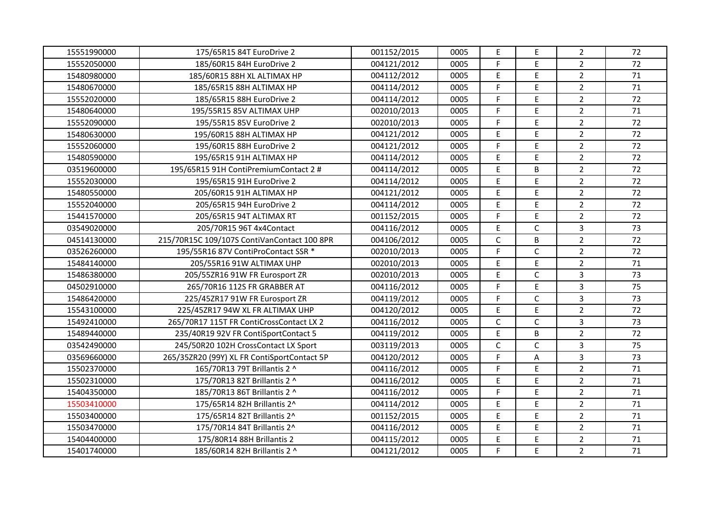| 15551990000 | 175/65R15 84T EuroDrive 2                   | 001152/2015 | 0005 | $\mathsf E$  | E            | $\overline{2}$ | 72 |
|-------------|---------------------------------------------|-------------|------|--------------|--------------|----------------|----|
| 15552050000 | 185/60R15 84H EuroDrive 2                   | 004121/2012 | 0005 | F            | E            | $\overline{2}$ | 72 |
| 15480980000 | 185/60R15 88H XL ALTIMAX HP                 | 004112/2012 | 0005 | E            | E            | $\overline{2}$ | 71 |
| 15480670000 | 185/65R15 88H ALTIMAX HP                    | 004114/2012 | 0005 | F            | E            | $\overline{2}$ | 71 |
| 15552020000 | 185/65R15 88H EuroDrive 2                   | 004114/2012 | 0005 | F            | E.           | $\overline{2}$ | 72 |
| 15480640000 | 195/55R15 85V ALTIMAX UHP                   | 002010/2013 | 0005 | F            | E.           | $\overline{2}$ | 71 |
| 15552090000 | 195/55R15 85V EuroDrive 2                   | 002010/2013 | 0005 | F            | E.           | $\overline{2}$ | 72 |
| 15480630000 | 195/60R15 88H ALTIMAX HP                    | 004121/2012 | 0005 | $\mathsf E$  | E            | $\overline{2}$ | 72 |
| 15552060000 | 195/60R15 88H EuroDrive 2                   | 004121/2012 | 0005 | F            | E            | $\overline{2}$ | 72 |
| 15480590000 | 195/65R15 91H ALTIMAX HP                    | 004114/2012 | 0005 | E            | E            | $\overline{2}$ | 72 |
| 03519600000 | 195/65R15 91H ContiPremiumContact 2 #       | 004114/2012 | 0005 | E            | B            | $\overline{2}$ | 72 |
| 15552030000 | 195/65R15 91H EuroDrive 2                   | 004114/2012 | 0005 | E            | E            | $\overline{2}$ | 72 |
| 15480550000 | 205/60R15 91H ALTIMAX HP                    | 004121/2012 | 0005 | E            | E.           | $\overline{2}$ | 72 |
| 15552040000 | 205/65R15 94H EuroDrive 2                   | 004114/2012 | 0005 | E            | E            | $\overline{2}$ | 72 |
| 15441570000 | 205/65R15 94T ALTIMAX RT                    | 001152/2015 | 0005 | F            | E.           | $\overline{2}$ | 72 |
| 03549020000 | 205/70R15 96T 4x4Contact                    | 004116/2012 | 0005 | $\mathsf E$  | $\mathsf{C}$ | $\overline{3}$ | 73 |
| 04514130000 | 215/70R15C 109/107S ContiVanContact 100 8PR | 004106/2012 | 0005 | $\mathsf{C}$ | B            | $\overline{2}$ | 72 |
| 03526260000 | 195/55R16 87V ContiProContact SSR *         | 002010/2013 | 0005 | F            | C            | $\overline{2}$ | 72 |
| 15484140000 | 205/55R16 91W ALTIMAX UHP                   | 002010/2013 | 0005 | E            | E.           | $\overline{2}$ | 71 |
| 15486380000 | 205/55ZR16 91W FR Eurosport ZR              | 002010/2013 | 0005 | E            | C            | $\overline{3}$ | 73 |
| 04502910000 | 265/70R16 112S FR GRABBER AT                | 004116/2012 | 0005 | F            | E            | $\overline{3}$ | 75 |
| 15486420000 | 225/45ZR17 91W FR Eurosport ZR              | 004119/2012 | 0005 | F            | $\mathsf{C}$ | 3              | 73 |
| 15543100000 | 225/45ZR17 94W XL FR ALTIMAX UHP            | 004120/2012 | 0005 | E            | E.           | $\overline{2}$ | 72 |
| 15492410000 | 265/70R17 115T FR ContiCrossContact LX 2    | 004116/2012 | 0005 | $\mathsf{C}$ | C            | $\mathbf{3}$   | 73 |
| 15489440000 | 235/40R19 92V FR ContiSportContact 5        | 004119/2012 | 0005 | $\mathsf E$  | B            | $\overline{2}$ | 72 |
| 03542490000 | 245/50R20 102H CrossContact LX Sport        | 003119/2013 | 0005 | $\mathsf{C}$ | C            | $\overline{3}$ | 75 |
| 03569660000 | 265/35ZR20 (99Y) XL FR ContiSportContact 5P | 004120/2012 | 0005 | F            | A            | $\overline{3}$ | 73 |
| 15502370000 | 165/70R13 79T Brillantis 2 ^                | 004116/2012 | 0005 | F            | E.           | $\overline{2}$ | 71 |
| 15502310000 | 175/70R13 82T Brillantis 2 ^                | 004116/2012 | 0005 | E            | E            | $\overline{2}$ | 71 |
| 15404350000 | 185/70R13 86T Brillantis 2 ^                | 004116/2012 | 0005 | F            | E            | $\overline{2}$ | 71 |
| 15503410000 | 175/65R14 82H Brillantis 2^                 | 004114/2012 | 0005 | E            | E            | $\overline{2}$ | 71 |
| 15503400000 | 175/65R14 82T Brillantis 2^                 | 001152/2015 | 0005 | $\mathsf E$  | E            | $\overline{2}$ | 71 |
| 15503470000 | 175/70R14 84T Brillantis 2^                 | 004116/2012 | 0005 | $\mathsf E$  | E            | $\overline{2}$ | 71 |
| 15404400000 | 175/80R14 88H Brillantis 2                  | 004115/2012 | 0005 | E            | E            | $\overline{2}$ | 71 |
| 15401740000 | 185/60R14 82H Brillantis 2 ^                | 004121/2012 | 0005 | F            | E            | $\overline{2}$ | 71 |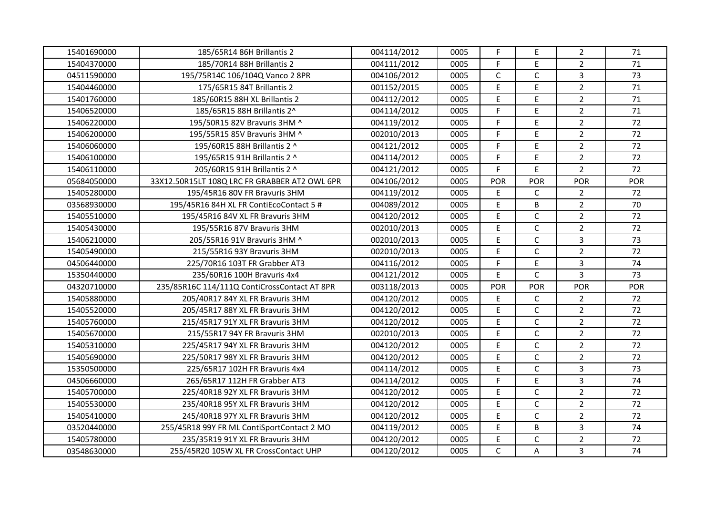| 15401690000 | 185/65R14 86H Brillantis 2                    | 004114/2012 | 0005 | F            | E            | $\overline{2}$ | 71  |
|-------------|-----------------------------------------------|-------------|------|--------------|--------------|----------------|-----|
| 15404370000 | 185/70R14 88H Brillantis 2                    | 004111/2012 | 0005 | F            | E            | $\overline{2}$ | 71  |
| 04511590000 | 195/75R14C 106/104Q Vanco 2 8PR               | 004106/2012 | 0005 | $\mathsf C$  | $\mathsf C$  | 3              | 73  |
| 15404460000 | 175/65R15 84T Brillantis 2                    | 001152/2015 | 0005 | E            | E            | $\overline{2}$ | 71  |
| 15401760000 | 185/60R15 88H XL Brillantis 2                 | 004112/2012 | 0005 | E            | E            | $\overline{2}$ | 71  |
| 15406520000 | 185/65R15 88H Brillantis 2^                   | 004114/2012 | 0005 | F            | E            | $\overline{2}$ | 71  |
| 15406220000 | 195/50R15 82V Bravuris 3HM ^                  | 004119/2012 | 0005 | F            | E            | $\overline{2}$ | 72  |
| 15406200000 | 195/55R15 85V Bravuris 3HM ^                  | 002010/2013 | 0005 | F            | E            | $\overline{2}$ | 72  |
| 15406060000 | 195/60R15 88H Brillantis 2 ^                  | 004121/2012 | 0005 | F            | $\mathsf{E}$ | $\overline{2}$ | 72  |
| 15406100000 | 195/65R15 91H Brillantis 2 ^                  | 004114/2012 | 0005 | F            | E            | $\overline{2}$ | 72  |
| 15406110000 | 205/60R15 91H Brillantis 2 ^                  | 004121/2012 | 0005 | F            | $\mathsf{E}$ | $\overline{2}$ | 72  |
| 05684050000 | 33X12.50R15LT 108Q LRC FR GRABBER AT2 OWL 6PR | 004106/2012 | 0005 | POR          | POR          | <b>POR</b>     | POR |
| 15405280000 | 195/45R16 80V FR Bravuris 3HM                 | 004119/2012 | 0005 | E            | $\mathsf{C}$ | $\overline{2}$ | 72  |
| 03568930000 | 195/45R16 84H XL FR ContiEcoContact 5 #       | 004089/2012 | 0005 | E            | B            | 2              | 70  |
| 15405510000 | 195/45R16 84V XL FR Bravuris 3HM              | 004120/2012 | 0005 | E            | $\mathsf C$  | $\overline{2}$ | 72  |
| 15405430000 | 195/55R16 87V Bravuris 3HM                    | 002010/2013 | 0005 | E            | $\mathsf C$  | $\overline{2}$ | 72  |
| 15406210000 | 205/55R16 91V Bravuris 3HM ^                  | 002010/2013 | 0005 | E            | $\mathsf C$  | $\mathbf{3}$   | 73  |
| 15405490000 | 215/55R16 93Y Bravuris 3HM                    | 002010/2013 | 0005 | E            | $\mathsf{C}$ | $\overline{2}$ | 72  |
| 04506440000 | 225/70R16 103T FR Grabber AT3                 | 004116/2012 | 0005 | F            | $\mathsf{E}$ | 3              | 74  |
| 15350440000 | 235/60R16 100H Bravuris 4x4                   | 004121/2012 | 0005 | E            | $\mathsf{C}$ | $\overline{3}$ | 73  |
| 04320710000 | 235/85R16C 114/111Q ContiCrossContact AT 8PR  | 003118/2013 | 0005 | POR          | <b>POR</b>   | <b>POR</b>     | POR |
| 15405880000 | 205/40R17 84Y XL FR Bravuris 3HM              | 004120/2012 | 0005 | E            | $\mathsf{C}$ | $\overline{2}$ | 72  |
| 15405520000 | 205/45R17 88Y XL FR Bravuris 3HM              | 004120/2012 | 0005 | E            | $\mathsf{C}$ | $\overline{2}$ | 72  |
| 15405760000 | 215/45R17 91Y XL FR Bravuris 3HM              | 004120/2012 | 0005 | E            | $\mathsf C$  | $\overline{2}$ | 72  |
| 15405670000 | 215/55R17 94Y FR Bravuris 3HM                 | 002010/2013 | 0005 | E            | $\mathsf C$  | $\overline{2}$ | 72  |
| 15405310000 | 225/45R17 94Y XL FR Bravuris 3HM              | 004120/2012 | 0005 | E            | $\mathsf C$  | $\overline{2}$ | 72  |
| 15405690000 | 225/50R17 98Y XL FR Bravuris 3HM              | 004120/2012 | 0005 | E            | $\mathsf{C}$ | $\overline{2}$ | 72  |
| 15350500000 | 225/65R17 102H FR Bravuris 4x4                | 004114/2012 | 0005 | E            | $\mathsf{C}$ | $\overline{3}$ | 73  |
| 04506660000 | 265/65R17 112H FR Grabber AT3                 | 004114/2012 | 0005 | F            | E            | $\overline{3}$ | 74  |
| 15405700000 | 225/40R18 92Y XL FR Bravuris 3HM              | 004120/2012 | 0005 | E            | $\mathsf{C}$ | $\overline{2}$ | 72  |
| 15405530000 | 235/40R18 95Y XL FR Bravuris 3HM              | 004120/2012 | 0005 | E            | $\mathsf{C}$ | $\overline{2}$ | 72  |
| 15405410000 | 245/40R18 97Y XL FR Bravuris 3HM              | 004120/2012 | 0005 | E            | $\mathsf C$  | $\overline{2}$ | 72  |
| 03520440000 | 255/45R18 99Y FR ML ContiSportContact 2 MO    | 004119/2012 | 0005 | E            | B            | $\overline{3}$ | 74  |
| 15405780000 | 235/35R19 91Y XL FR Bravuris 3HM              | 004120/2012 | 0005 | E            | $\mathsf C$  | $\overline{2}$ | 72  |
| 03548630000 | 255/45R20 105W XL FR CrossContact UHP         | 004120/2012 | 0005 | $\mathsf{C}$ | A            | 3              | 74  |
|             |                                               |             |      |              |              |                |     |